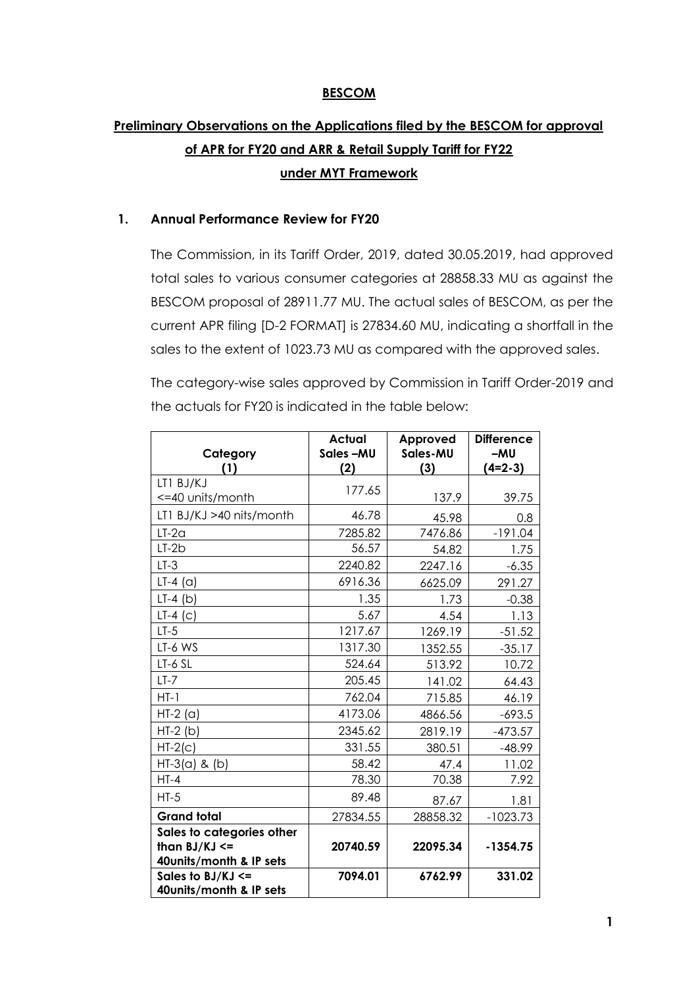### **BESCOM**

## **Preliminary Observations on the Applications filed by the BESCOM for approval of APR for FY20 and ARR & Retail Supply Tariff for FY22 under MYT Framework**

#### **1. Annual Performance Review for FY20**

The Commission, in its Tariff Order, 2019, dated 30.05.2019, had approved total sales to various consumer categories at 28858.33 MU as against the BESCOM proposal of 28911.77 MU. The actual sales of BESCOM, as per the current APR filing [D-2 FORMAT] is 27834.60 MU, indicating a shortfall in the sales to the extent of 1023.73 MU as compared with the approved sales.

The category-wise sales approved by Commission in Tariff Order-2019 and the actuals for FY20 is indicated in the table below:

| Category<br>(1)                              | <b>Actual</b><br>Sales-MU<br>(2) | Approved<br>Sales-MU<br>(3) | <b>Difference</b><br>$-MU$<br>$(4=2-3)$ |
|----------------------------------------------|----------------------------------|-----------------------------|-----------------------------------------|
| LT1 BJ/KJ                                    |                                  |                             |                                         |
| <=40 units/month                             | 177.65                           | 137.9                       | 39.75                                   |
| LT1 BJ/KJ >40 nits/month                     | 46.78                            | 45.98                       | 0.8                                     |
| $LT-2a$                                      | 7285.82                          | 7476.86                     | $-191.04$                               |
| $LT-2b$                                      | 56.57                            | 54.82                       | 1.75                                    |
| $LT-3$                                       | 2240.82                          | 2247.16                     | $-6.35$                                 |
| $LT-4$ (a)                                   | 6916.36                          | 6625.09                     | 291.27                                  |
| $LT-4$ (b)                                   | 1.35                             | 1.73                        | $-0.38$                                 |
| $LT-4$ (c)                                   | 5.67                             | 4.54                        | 1.13                                    |
| $LT-5$                                       | 1217.67                          | 1269.19                     | $-51.52$                                |
| LT-6 WS                                      | 1317.30                          | 1352.55                     | $-35.17$                                |
| LT-6 SL                                      | 524.64                           | 513.92                      | 10.72                                   |
| $LT-7$                                       | 205.45                           | 141.02                      | 64.43                                   |
| $HT-1$                                       | 762.04                           | 715.85                      | 46.19                                   |
| $HT-2$ (a)                                   | 4173.06                          | 4866.56                     | $-693.5$                                |
| $HT-2(b)$                                    | 2345.62                          | 2819.19                     | $-473.57$                               |
| $HT-2(c)$                                    | 331.55                           | 380.51                      | $-48.99$                                |
| $HT-3(a)$ & (b)                              | 58.42                            | 47.4                        | 11.02                                   |
| $HT-4$                                       | 78.30                            | 70.38                       | 7.92                                    |
| $HT-5$                                       | 89.48                            | 87.67                       | 1.81                                    |
| <b>Grand total</b>                           | 27834.55                         | 28858.32                    | $-1023.73$                              |
| Sales to categories other                    |                                  |                             |                                         |
| than $BJ/KJ \leq$<br>40units/month & IP sets | 20740.59                         | 22095.34                    | $-1354.75$                              |
| Sales to $BJ/KJ \leq$                        | 7094.01                          | 6762.99                     | 331.02                                  |
| 40units/month & IP sets                      |                                  |                             |                                         |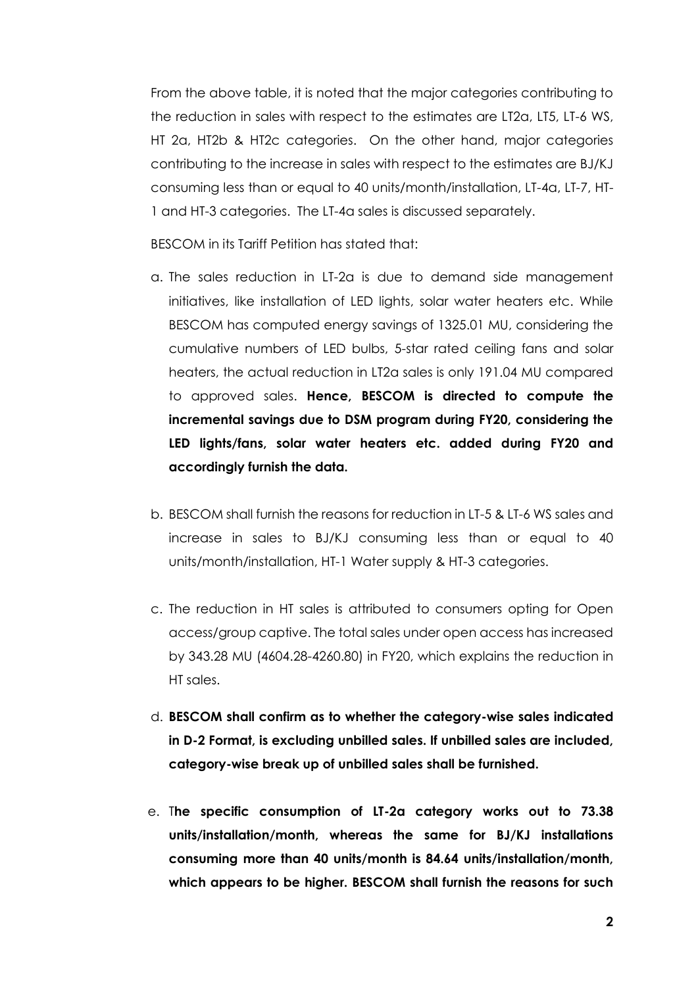From the above table, it is noted that the major categories contributing to the reduction in sales with respect to the estimates are LT2a, LT5, LT-6 WS, HT 2a, HT2b & HT2c categories. On the other hand, major categories contributing to the increase in sales with respect to the estimates are BJ/KJ consuming less than or equal to 40 units/month/installation, LT-4a, LT-7, HT-1 and HT-3 categories. The LT-4a sales is discussed separately.

BESCOM in its Tariff Petition has stated that:

- a. The sales reduction in LT-2a is due to demand side management initiatives, like installation of LED lights, solar water heaters etc. While BESCOM has computed energy savings of 1325.01 MU, considering the cumulative numbers of LED bulbs, 5-star rated ceiling fans and solar heaters, the actual reduction in LT2a sales is only 191.04 MU compared to approved sales. **Hence, BESCOM is directed to compute the incremental savings due to DSM program during FY20, considering the LED lights/fans, solar water heaters etc. added during FY20 and accordingly furnish the data.**
- b. BESCOM shall furnish the reasons for reduction in LT-5 & LT-6 WS sales and increase in sales to BJ/KJ consuming less than or equal to 40 units/month/installation, HT-1 Water supply & HT-3 categories.
- c. The reduction in HT sales is attributed to consumers opting for Open access/group captive. The total sales under open access has increased by 343.28 MU (4604.28-4260.80) in FY20, which explains the reduction in HT sales.
- d. **BESCOM shall confirm as to whether the category-wise sales indicated in D-2 Format, is excluding unbilled sales. If unbilled sales are included, category-wise break up of unbilled sales shall be furnished.**
- e. T**he specific consumption of LT-2a category works out to 73.38 units/installation/month, whereas the same for BJ/KJ installations consuming more than 40 units/month is 84.64 units/installation/month, which appears to be higher. BESCOM shall furnish the reasons for such**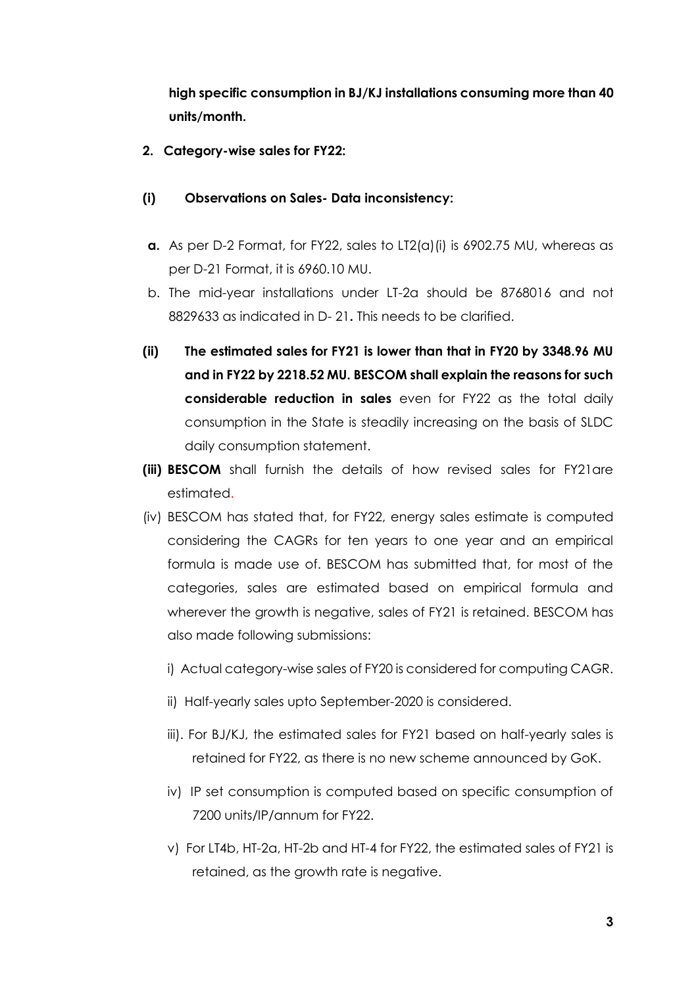**high specific consumption in BJ/KJ installations consuming more than 40 units/month.**

**2. Category-wise sales for FY22:**

#### **(i) Observations on Sales- Data inconsistency:**

- **a.** As per D-2 Format, for FY22, sales to LT2(a)(i) is 6902.75 MU, whereas as per D-21 Format, it is 6960.10 MU.
- b. The mid-year installations under LT-2a should be 8768016 and not 8829633 as indicated in D- 21**.** This needs to be clarified.
- **(ii) The estimated sales for FY21 is lower than that in FY20 by 3348.96 MU and in FY22 by 2218.52 MU. BESCOM shall explain the reasons for such considerable reduction in sales** even for FY22 as the total daily consumption in the State is steadily increasing on the basis of SLDC daily consumption statement.
- **(iii) BESCOM** shall furnish the details of how revised sales for FY21are estimated.
- (iv) BESCOM has stated that, for FY22, energy sales estimate is computed considering the CAGRs for ten years to one year and an empirical formula is made use of. BESCOM has submitted that, for most of the categories, sales are estimated based on empirical formula and wherever the growth is negative, sales of FY21 is retained. BESCOM has also made following submissions:
	- i) Actual category-wise sales of FY20 is considered for computing CAGR.
	- ii) Half-yearly sales upto September-2020 is considered.
	- iii). For BJ/KJ, the estimated sales for FY21 based on half-yearly sales is retained for FY22, as there is no new scheme announced by GoK.
	- iv) IP set consumption is computed based on specific consumption of 7200 units/IP/annum for FY22.
	- v) For LT4b, HT-2a, HT-2b and HT-4 for FY22, the estimated sales of FY21 is retained, as the growth rate is negative.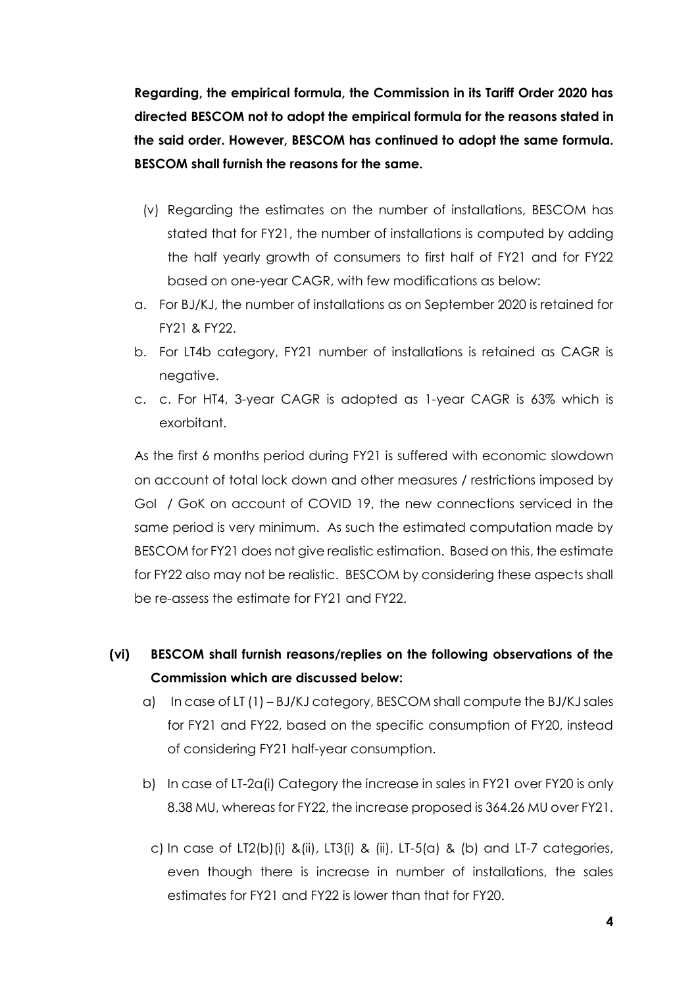**Regarding, the empirical formula, the Commission in its Tariff Order 2020 has directed BESCOM not to adopt the empirical formula for the reasons stated in the said order. However, BESCOM has continued to adopt the same formula. BESCOM shall furnish the reasons for the same.**

- (v) Regarding the estimates on the number of installations, BESCOM has stated that for FY21, the number of installations is computed by adding the half yearly growth of consumers to first half of FY21 and for FY22 based on one-year CAGR, with few modifications as below:
- a. For BJ/KJ, the number of installations as on September 2020 is retained for FY21 & FY22.
- b. For LT4b category, FY21 number of installations is retained as CAGR is negative.
- c. c. For HT4, 3-year CAGR is adopted as 1-year CAGR is 63% which is exorbitant.

As the first 6 months period during FY21 is suffered with economic slowdown on account of total lock down and other measures / restrictions imposed by GoI / GoK on account of COVID 19, the new connections serviced in the same period is very minimum. As such the estimated computation made by BESCOM for FY21 does not give realistic estimation. Based on this, the estimate for FY22 also may not be realistic. BESCOM by considering these aspects shall be re-assess the estimate for FY21 and FY22.

**(vi) BESCOM shall furnish reasons/replies on the following observations of the Commission which are discussed below:**

- a) In case of LT (1) BJ/KJ category, BESCOM shall compute the BJ/KJ sales for FY21 and FY22, based on the specific consumption of FY20, instead of considering FY21 half-year consumption.
- b) In case of LT-2a(i) Category the increase in sales in FY21 over FY20 is only 8.38 MU, whereas for FY22, the increase proposed is 364.26 MU over FY21.
	- c) In case of LT2(b)(i) &(ii), LT3(i) & (ii), LT-5(a) & (b) and LT-7 categories, even though there is increase in number of installations, the sales estimates for FY21 and FY22 is lower than that for FY20.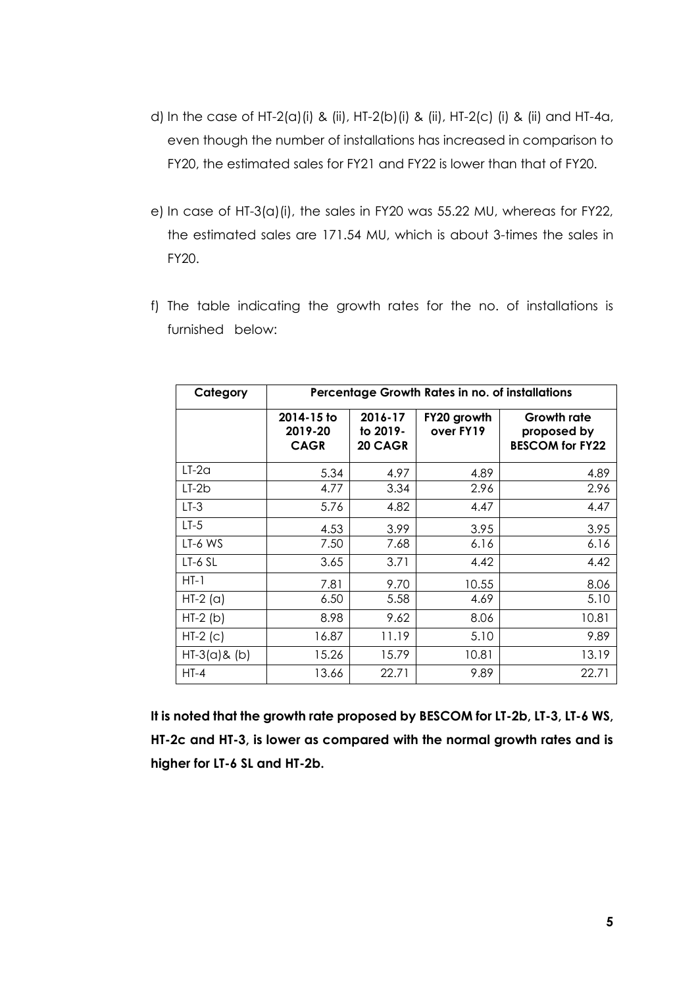- d) In the case of HT-2(a)(i) & (ii), HT-2(b)(i) & (ii), HT-2(c) (i) & (ii) and HT-4a, even though the number of installations has increased in comparison to FY20, the estimated sales for FY21 and FY22 is lower than that of FY20.
- e) In case of HT-3(a)(i), the sales in FY20 was 55.22 MU, whereas for FY22, the estimated sales are 171.54 MU, which is about 3-times the sales in FY20.
- f) The table indicating the growth rates for the no. of installations is furnished below:

| Category        | Percentage Growth Rates in no. of installations |                                |                          |                                                             |  |  |
|-----------------|-------------------------------------------------|--------------------------------|--------------------------|-------------------------------------------------------------|--|--|
|                 | 2014-15 to<br>2019-20<br><b>CAGR</b>            | 2016-17<br>to 2019-<br>20 CAGR | FY20 growth<br>over FY19 | <b>Growth rate</b><br>proposed by<br><b>BESCOM for FY22</b> |  |  |
| $LT-2a$         | 5.34                                            | 4.97                           | 4.89                     | 4.89                                                        |  |  |
| $LT-2b$         | 4.77                                            | 3.34                           | 2.96                     | 2.96                                                        |  |  |
| $LT-3$          | 5.76                                            | 4.82                           | 4.47                     | 4.47                                                        |  |  |
| $LT-5$          | 4.53                                            | 3.99                           | 3.95                     | 3.95                                                        |  |  |
| LT-6 WS         | 7.50                                            | 7.68                           | 6.16                     | 6.16                                                        |  |  |
| LT-6 SL         | 3.65                                            | 3.71                           | 4.42                     | 4.42                                                        |  |  |
| $HT-1$          | 7.81                                            | 9.70                           | 10.55                    | 8.06                                                        |  |  |
| $HT-2$ (a)      | 6.50                                            | 5.58                           | 4.69                     | 5.10                                                        |  |  |
| $HT-2(b)$       | 8.98                                            | 9.62                           | 8.06                     | 10.81                                                       |  |  |
| $HT-2$ (c)      | 16.87                                           | 11.19                          | 5.10                     | 9.89                                                        |  |  |
| $HT-3(a)$ & (b) | 15.26                                           | 15.79                          | 10.81                    | 13.19                                                       |  |  |
| $HT-4$          | 13.66                                           | 22.71                          | 9.89                     | 22.71                                                       |  |  |

**It is noted that the growth rate proposed by BESCOM for LT-2b, LT-3, LT-6 WS, HT-2c and HT-3, is lower as compared with the normal growth rates and is higher for LT-6 SL and HT-2b.**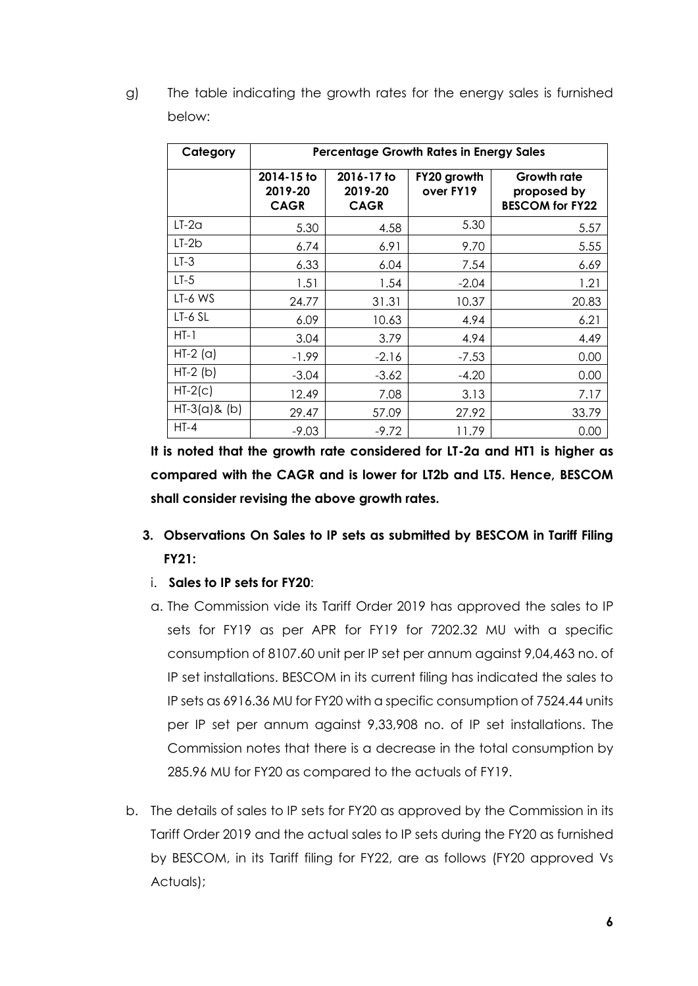g) The table indicating the growth rates for the energy sales is furnished below:

| Category        | <b>Percentage Growth Rates in Energy Sales</b> |                                      |                          |                                                             |  |  |  |
|-----------------|------------------------------------------------|--------------------------------------|--------------------------|-------------------------------------------------------------|--|--|--|
|                 | 2014-15 to<br>2019-20<br><b>CAGR</b>           | 2016-17 to<br>2019-20<br><b>CAGR</b> | FY20 growth<br>over FY19 | <b>Growth rate</b><br>proposed by<br><b>BESCOM for FY22</b> |  |  |  |
| $LT-2a$         | 5.30                                           | 4.58                                 | 5.30                     | 5.57                                                        |  |  |  |
| $LT-2b$         | 6.74                                           | 6.91                                 | 9.70                     | 5.55                                                        |  |  |  |
| $LT-3$          | 6.33                                           | 6.04                                 | 7.54                     | 6.69                                                        |  |  |  |
| $LT-5$          | 1.51                                           | 1.54                                 | $-2.04$                  | 1.21                                                        |  |  |  |
| LT-6 WS         | 24.77                                          | 31.31                                | 10.37                    | 20.83                                                       |  |  |  |
| LT-6 SL         | 6.09                                           | 10.63                                | 4.94                     | 6.21                                                        |  |  |  |
| $HT-1$          | 3.04                                           | 3.79                                 | 4.94                     | 4.49                                                        |  |  |  |
| $HT-2$ (a)      | $-1.99$                                        | $-2.16$                              | $-7.53$                  | 0.00                                                        |  |  |  |
| $HT-2(b)$       | $-3.04$                                        | $-3.62$                              | $-4.20$                  | 0.00                                                        |  |  |  |
| $HT-2(c)$       | 12.49                                          | 7.08                                 | 3.13                     | 7.17                                                        |  |  |  |
| $HT-3(a)$ & (b) | 29.47                                          | 57.09                                | 27.92                    | 33.79                                                       |  |  |  |
| $HT-4$          | $-9.03$                                        | $-9.72$                              | 11.79                    | 0.00                                                        |  |  |  |

**It is noted that the growth rate considered for LT-2a and HT1 is higher as compared with the CAGR and is lower for LT2b and LT5. Hence, BESCOM shall consider revising the above growth rates.**

- **3. Observations On Sales to IP sets as submitted by BESCOM in Tariff Filing FY21:**
	- i. **Sales to IP sets for FY20**:
- a. The Commission vide its Tariff Order 2019 has approved the sales to IP sets for FY19 as per APR for FY19 for 7202.32 MU with a specific consumption of 8107.60 unit per IP set per annum against 9,04,463 no. of IP set installations. BESCOM in its current filing has indicated the sales to IP sets as 6916.36 MU for FY20 with a specific consumption of 7524.44 units per IP set per annum against 9,33,908 no. of IP set installations. The Commission notes that there is a decrease in the total consumption by 285.96 MU for FY20 as compared to the actuals of FY19.
- b. The details of sales to IP sets for FY20 as approved by the Commission in its Tariff Order 2019 and the actual sales to IP sets during the FY20 as furnished by BESCOM, in its Tariff filing for FY22, are as follows (FY20 approved Vs Actuals);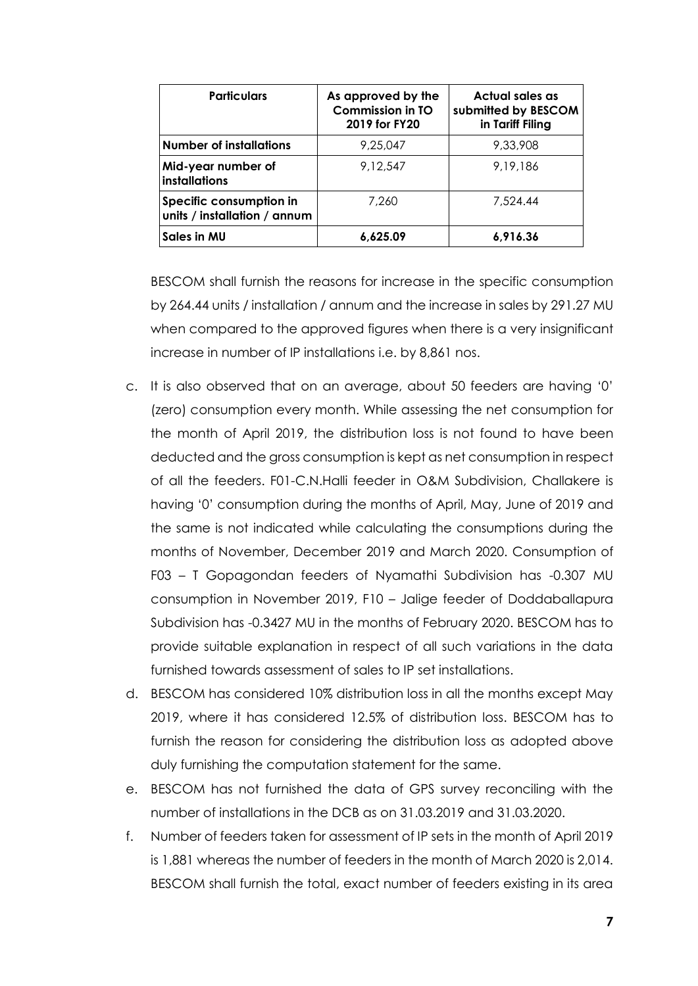| <b>Particulars</b>                                      | As approved by the<br><b>Commission in TO</b><br>2019 for FY20 | Actual sales as<br>submitted by BESCOM<br>in Tariff Filing |
|---------------------------------------------------------|----------------------------------------------------------------|------------------------------------------------------------|
| <b>Number of installations</b>                          | 9,25,047                                                       | 9,33,908                                                   |
| Mid-year number of<br><b>installations</b>              | 9,12,547                                                       | 9,19,186                                                   |
| Specific consumption in<br>units / installation / annum | 7.260                                                          | 7,524.44                                                   |
| Sales in MU                                             | 6,625.09                                                       | 6,916.36                                                   |

BESCOM shall furnish the reasons for increase in the specific consumption by 264.44 units / installation / annum and the increase in sales by 291.27 MU when compared to the approved figures when there is a very insignificant increase in number of IP installations i.e. by 8,861 nos.

- c. It is also observed that on an average, about 50 feeders are having '0' (zero) consumption every month. While assessing the net consumption for the month of April 2019, the distribution loss is not found to have been deducted and the gross consumption is kept as net consumption in respect of all the feeders. F01-C.N.Halli feeder in O&M Subdivision, Challakere is having '0' consumption during the months of April, May, June of 2019 and the same is not indicated while calculating the consumptions during the months of November, December 2019 and March 2020. Consumption of F03 – T Gopagondan feeders of Nyamathi Subdivision has -0.307 MU consumption in November 2019, F10 – Jalige feeder of Doddaballapura Subdivision has -0.3427 MU in the months of February 2020. BESCOM has to provide suitable explanation in respect of all such variations in the data furnished towards assessment of sales to IP set installations.
- d. BESCOM has considered 10% distribution loss in all the months except May 2019, where it has considered 12.5% of distribution loss. BESCOM has to furnish the reason for considering the distribution loss as adopted above duly furnishing the computation statement for the same.
- e. BESCOM has not furnished the data of GPS survey reconciling with the number of installations in the DCB as on 31.03.2019 and 31.03.2020.
- f. Number of feeders taken for assessment of IP sets in the month of April 2019 is 1,881 whereas the number of feeders in the month of March 2020 is 2,014. BESCOM shall furnish the total, exact number of feeders existing in its area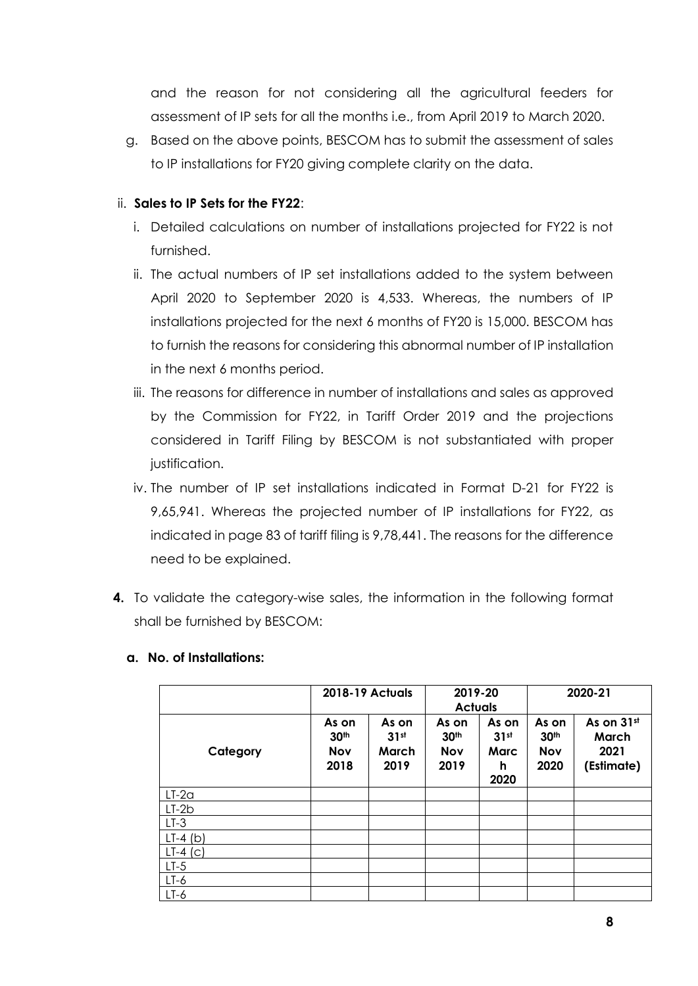and the reason for not considering all the agricultural feeders for assessment of IP sets for all the months i.e., from April 2019 to March 2020.

g. Based on the above points, BESCOM has to submit the assessment of sales to IP installations for FY20 giving complete clarity on the data.

## ii. **Sales to IP Sets for the FY22**:

- i. Detailed calculations on number of installations projected for FY22 is not furnished.
- ii. The actual numbers of IP set installations added to the system between April 2020 to September 2020 is 4,533. Whereas, the numbers of IP installations projected for the next 6 months of FY20 is 15,000. BESCOM has to furnish the reasons for considering this abnormal number of IP installation in the next 6 months period.
- iii. The reasons for difference in number of installations and sales as approved by the Commission for FY22, in Tariff Order 2019 and the projections considered in Tariff Filing by BESCOM is not substantiated with proper justification.
- iv. The number of IP set installations indicated in Format D-21 for FY22 is 9,65,941. Whereas the projected number of IP installations for FY22, as indicated in page 83 of tariff filing is 9,78,441. The reasons for the difference need to be explained.
- **4.** To validate the category-wise sales, the information in the following format shall be furnished by BESCOM:

|            | <b>2018-19 Actuals</b>                          |                                | 2019-20<br><b>Actuals</b>                       |                                                | 2020-21                                         |                                           |
|------------|-------------------------------------------------|--------------------------------|-------------------------------------------------|------------------------------------------------|-------------------------------------------------|-------------------------------------------|
| Category   | As on<br>30 <sup>th</sup><br><b>Nov</b><br>2018 | As on<br>31st<br>March<br>2019 | As on<br>30 <sup>th</sup><br><b>Nov</b><br>2019 | As on<br>31 <sup>st</sup><br>Marc<br>h<br>2020 | As on<br>30 <sup>th</sup><br><b>Nov</b><br>2020 | As on 31st<br>March<br>2021<br>(Estimate) |
| $LT-2a$    |                                                 |                                |                                                 |                                                |                                                 |                                           |
| $LT-2b$    |                                                 |                                |                                                 |                                                |                                                 |                                           |
| $LT-3$     |                                                 |                                |                                                 |                                                |                                                 |                                           |
| $LT-4$ (b) |                                                 |                                |                                                 |                                                |                                                 |                                           |
| $LT-4$ (c) |                                                 |                                |                                                 |                                                |                                                 |                                           |
| $LT-5$     |                                                 |                                |                                                 |                                                |                                                 |                                           |
| $LT-6$     |                                                 |                                |                                                 |                                                |                                                 |                                           |
| $LT-6$     |                                                 |                                |                                                 |                                                |                                                 |                                           |

#### **a. No. of Installations:**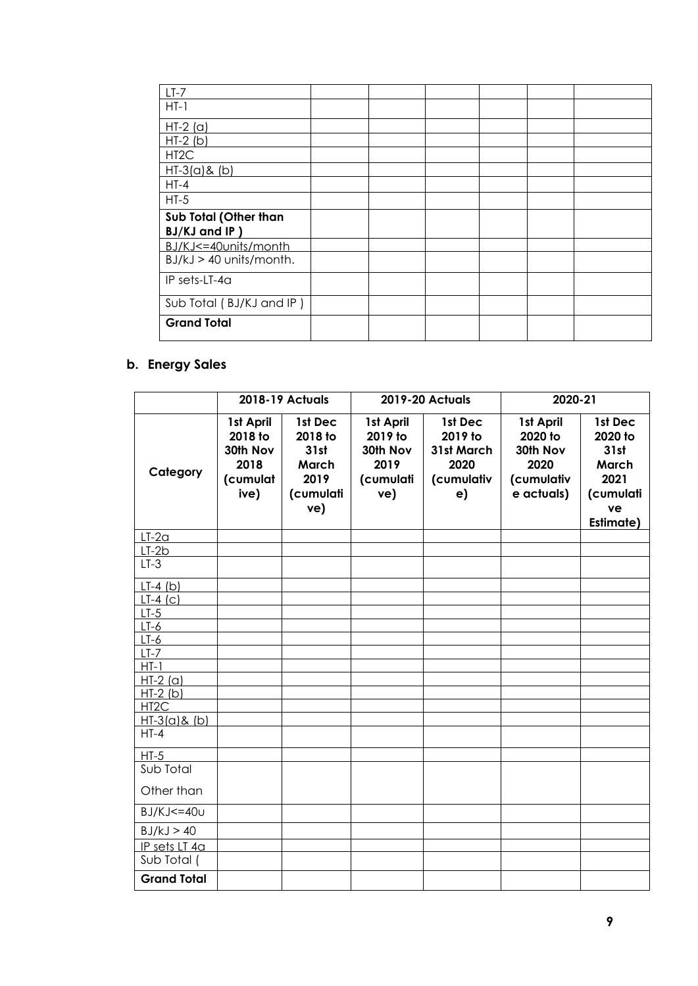| $LT-7$                    |  |  |  |
|---------------------------|--|--|--|
| $HT-1$                    |  |  |  |
| $HT-2$ (a)                |  |  |  |
| $HT-2(b)$                 |  |  |  |
| HT <sub>2</sub> C         |  |  |  |
| $HI-3(a)$ & (b)           |  |  |  |
| $HT-4$                    |  |  |  |
| $HT-5$                    |  |  |  |
| Sub Total (Other than     |  |  |  |
| BJ/KJ and IP)             |  |  |  |
| BJ/KJ<=40units/month      |  |  |  |
| $BJ/kJ > 40$ units/month. |  |  |  |
| IP sets-LT-4a             |  |  |  |
| Sub Total (BJ/KJ and IP)  |  |  |  |
| <b>Grand Total</b>        |  |  |  |

## **b. Energy Sales**

|                        | <b>2018-19 Actuals</b><br><b>2019-20 Actuals</b>             |                                                                 | 2020-21                                                      |                                                              |                                                                      |                                                                             |
|------------------------|--------------------------------------------------------------|-----------------------------------------------------------------|--------------------------------------------------------------|--------------------------------------------------------------|----------------------------------------------------------------------|-----------------------------------------------------------------------------|
| Category               | 1st April<br>2018 to<br>30th Nov<br>2018<br>(cumulat<br>ive) | 1st Dec<br>2018 to<br>31st<br>March<br>2019<br>(cumulati<br>ve) | 1st April<br>2019 to<br>30th Nov<br>2019<br>(cumulati<br>ve) | 1st Dec<br>2019 to<br>31st March<br>2020<br>(cumulativ<br>e) | 1st April<br>2020 to<br>30th Nov<br>2020<br>(cumulativ<br>e actuals) | 1st Dec<br>2020 to<br>31st<br>March<br>2021<br>(cumulati<br>ve<br>Estimate) |
| $LT-2a$                |                                                              |                                                                 |                                                              |                                                              |                                                                      |                                                                             |
| $LT-2b$                |                                                              |                                                                 |                                                              |                                                              |                                                                      |                                                                             |
| $LT-3$                 |                                                              |                                                                 |                                                              |                                                              |                                                                      |                                                                             |
| $LT-4(b)$              |                                                              |                                                                 |                                                              |                                                              |                                                                      |                                                                             |
| $LT-4(C)$              |                                                              |                                                                 |                                                              |                                                              |                                                                      |                                                                             |
| $LT-5$                 |                                                              |                                                                 |                                                              |                                                              |                                                                      |                                                                             |
| $LT-6$                 |                                                              |                                                                 |                                                              |                                                              |                                                                      |                                                                             |
| $LT-6$                 |                                                              |                                                                 |                                                              |                                                              |                                                                      |                                                                             |
| $LT-7$                 |                                                              |                                                                 |                                                              |                                                              |                                                                      |                                                                             |
| $HT-1$                 |                                                              |                                                                 |                                                              |                                                              |                                                                      |                                                                             |
| $HT-2(a)$<br>$HI-2(b)$ |                                                              |                                                                 |                                                              |                                                              |                                                                      |                                                                             |
| HT <sub>2C</sub>       |                                                              |                                                                 |                                                              |                                                              |                                                                      |                                                                             |
| $HI-3(a)$ & (b)        |                                                              |                                                                 |                                                              |                                                              |                                                                      |                                                                             |
| $HT-4$                 |                                                              |                                                                 |                                                              |                                                              |                                                                      |                                                                             |
| $HT-5$                 |                                                              |                                                                 |                                                              |                                                              |                                                                      |                                                                             |
| Sub Total              |                                                              |                                                                 |                                                              |                                                              |                                                                      |                                                                             |
| Other than             |                                                              |                                                                 |                                                              |                                                              |                                                                      |                                                                             |
| $BJ/KJ \leq 40U$       |                                                              |                                                                 |                                                              |                                                              |                                                                      |                                                                             |
| BJ/kJ > 40             |                                                              |                                                                 |                                                              |                                                              |                                                                      |                                                                             |
| IP sets LT 4a          |                                                              |                                                                 |                                                              |                                                              |                                                                      |                                                                             |
| Sub Total (            |                                                              |                                                                 |                                                              |                                                              |                                                                      |                                                                             |
| <b>Grand Total</b>     |                                                              |                                                                 |                                                              |                                                              |                                                                      |                                                                             |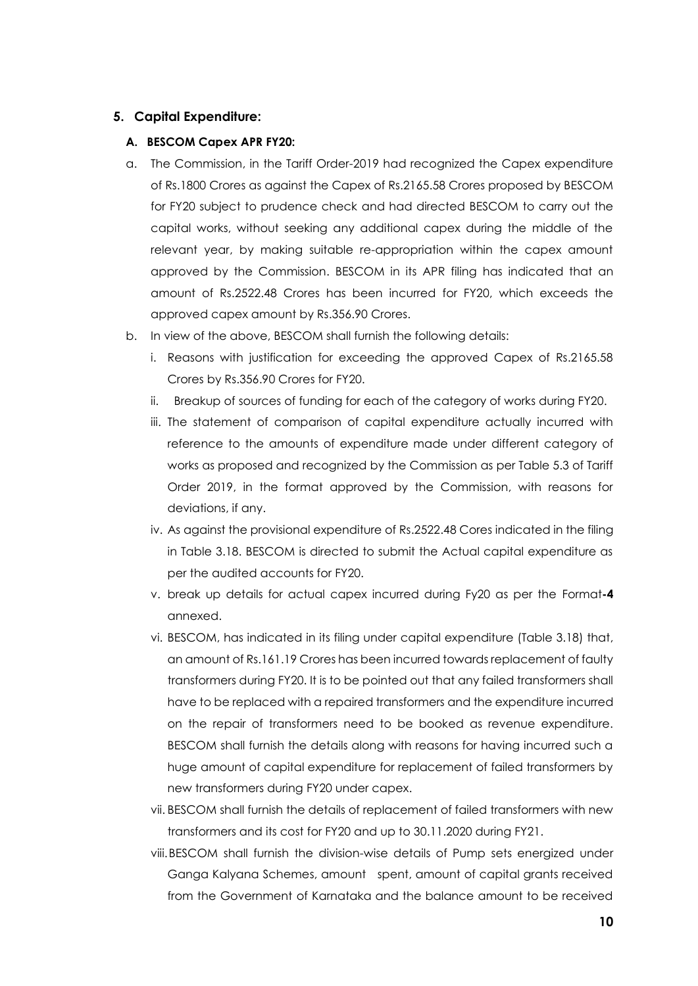#### **5. Capital Expenditure:**

#### **A. BESCOM Capex APR FY20:**

- a. The Commission, in the Tariff Order-2019 had recognized the Capex expenditure of Rs.1800 Crores as against the Capex of Rs.2165.58 Crores proposed by BESCOM for FY20 subject to prudence check and had directed BESCOM to carry out the capital works, without seeking any additional capex during the middle of the relevant year, by making suitable re-appropriation within the capex amount approved by the Commission. BESCOM in its APR filing has indicated that an amount of Rs.2522.48 Crores has been incurred for FY20, which exceeds the approved capex amount by Rs.356.90 Crores.
- b. In view of the above, BESCOM shall furnish the following details:
	- i. Reasons with justification for exceeding the approved Capex of Rs.2165.58 Crores by Rs.356.90 Crores for FY20.
	- ii. Breakup of sources of funding for each of the category of works during FY20.
	- iii. The statement of comparison of capital expenditure actually incurred with reference to the amounts of expenditure made under different category of works as proposed and recognized by the Commission as per Table 5.3 of Tariff Order 2019, in the format approved by the Commission, with reasons for deviations, if any.
	- iv. As against the provisional expenditure of Rs.2522.48 Cores indicated in the filing in Table 3.18. BESCOM is directed to submit the Actual capital expenditure as per the audited accounts for FY20.
	- v. break up details for actual capex incurred during Fy20 as per the Format**-4**  annexed.
	- vi. BESCOM, has indicated in its filing under capital expenditure (Table 3.18) that, an amount of Rs.161.19 Crores has been incurred towards replacement of faulty transformers during FY20. It is to be pointed out that any failed transformers shall have to be replaced with a repaired transformers and the expenditure incurred on the repair of transformers need to be booked as revenue expenditure. BESCOM shall furnish the details along with reasons for having incurred such a huge amount of capital expenditure for replacement of failed transformers by new transformers during FY20 under capex.
	- vii. BESCOM shall furnish the details of replacement of failed transformers with new transformers and its cost for FY20 and up to 30.11.2020 during FY21.
	- viii.BESCOM shall furnish the division-wise details of Pump sets energized under Ganga Kalyana Schemes, amount spent, amount of capital grants received from the Government of Karnataka and the balance amount to be received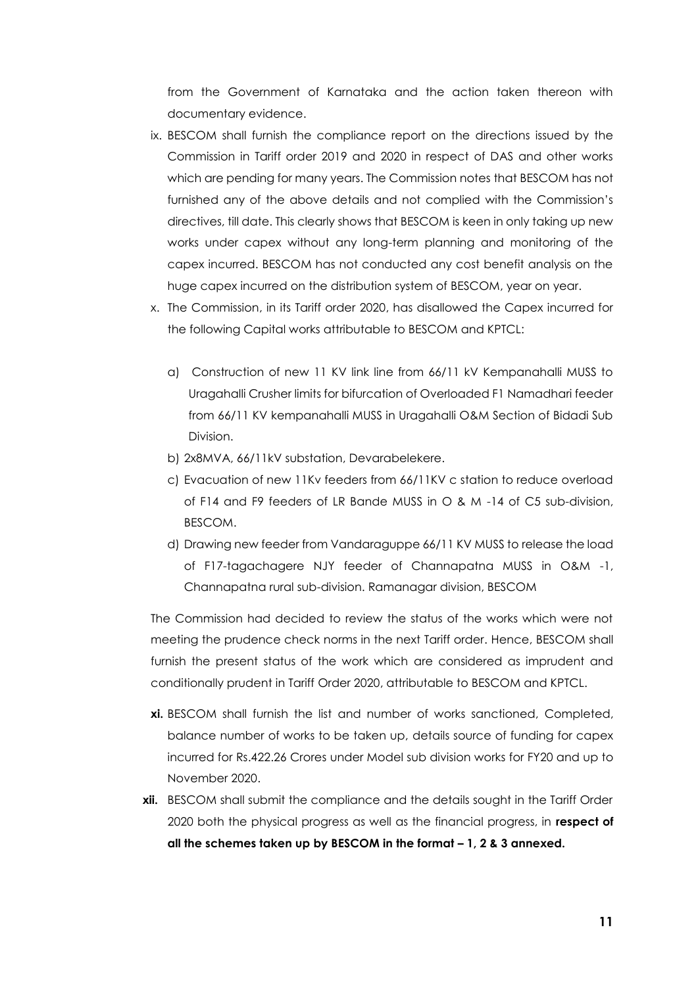from the Government of Karnataka and the action taken thereon with documentary evidence.

- ix. BESCOM shall furnish the compliance report on the directions issued by the Commission in Tariff order 2019 and 2020 in respect of DAS and other works which are pending for many years. The Commission notes that BESCOM has not furnished any of the above details and not complied with the Commission's directives, till date. This clearly shows that BESCOM is keen in only taking up new works under capex without any long-term planning and monitoring of the capex incurred. BESCOM has not conducted any cost benefit analysis on the huge capex incurred on the distribution system of BESCOM, year on year.
- x. The Commission, in its Tariff order 2020, has disallowed the Capex incurred for the following Capital works attributable to BESCOM and KPTCL:
	- a) Construction of new 11 KV link line from 66/11 kV Kempanahalli MUSS to Uragahalli Crusher limits for bifurcation of Overloaded F1 Namadhari feeder from 66/11 KV kempanahalli MUSS in Uragahalli O&M Section of Bidadi Sub Division.
	- b) 2x8MVA, 66/11kV substation, Devarabelekere.
	- c) Evacuation of new 11Kv feeders from 66/11KV c station to reduce overload of F14 and F9 feeders of LR Bande MUSS in O & M -14 of C5 sub-division, BESCOM.
	- d) Drawing new feeder from Vandaraguppe 66/11 KV MUSS to release the load of F17-tagachagere NJY feeder of Channapatna MUSS in O&M -1, Channapatna rural sub-division. Ramanagar division, BESCOM

The Commission had decided to review the status of the works which were not meeting the prudence check norms in the next Tariff order. Hence, BESCOM shall furnish the present status of the work which are considered as imprudent and conditionally prudent in Tariff Order 2020, attributable to BESCOM and KPTCL.

- **xi.** BESCOM shall furnish the list and number of works sanctioned, Completed, balance number of works to be taken up, details source of funding for capex incurred for Rs.422.26 Crores under Model sub division works for FY20 and up to November 2020.
- **xii.** BESCOM shall submit the compliance and the details sought in the Tariff Order 2020 both the physical progress as well as the financial progress, in **respect of all the schemes taken up by BESCOM in the format – 1, 2 & 3 annexed.**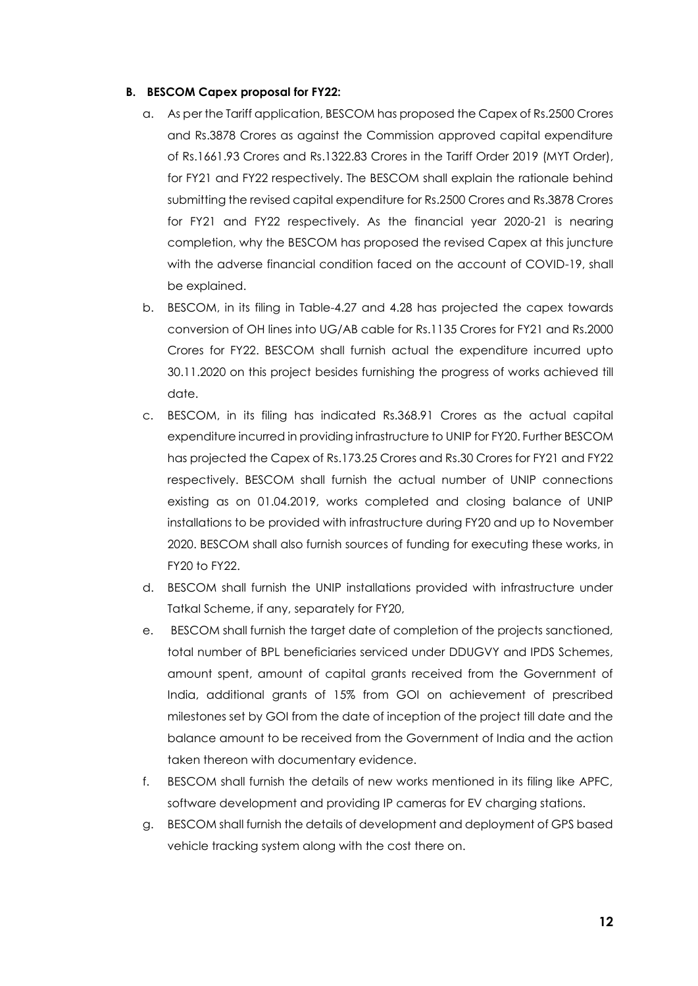#### **B. BESCOM Capex proposal for FY22:**

- a. As per the Tariff application, BESCOM has proposed the Capex of Rs.2500 Crores and Rs.3878 Crores as against the Commission approved capital expenditure of Rs.1661.93 Crores and Rs.1322.83 Crores in the Tariff Order 2019 (MYT Order), for FY21 and FY22 respectively. The BESCOM shall explain the rationale behind submitting the revised capital expenditure for Rs.2500 Crores and Rs.3878 Crores for FY21 and FY22 respectively. As the financial year 2020-21 is nearing completion, why the BESCOM has proposed the revised Capex at this juncture with the adverse financial condition faced on the account of COVID-19, shall be explained.
- b. BESCOM, in its filing in Table-4.27 and 4.28 has projected the capex towards conversion of OH lines into UG/AB cable for Rs.1135 Crores for FY21 and Rs.2000 Crores for FY22. BESCOM shall furnish actual the expenditure incurred upto 30.11.2020 on this project besides furnishing the progress of works achieved till date.
- c. BESCOM, in its filing has indicated Rs.368.91 Crores as the actual capital expenditure incurred in providing infrastructure to UNIP for FY20. Further BESCOM has projected the Capex of Rs.173.25 Crores and Rs.30 Crores for FY21 and FY22 respectively. BESCOM shall furnish the actual number of UNIP connections existing as on 01.04.2019, works completed and closing balance of UNIP installations to be provided with infrastructure during FY20 and up to November 2020. BESCOM shall also furnish sources of funding for executing these works, in FY20 to FY22.
- d. BESCOM shall furnish the UNIP installations provided with infrastructure under Tatkal Scheme, if any, separately for FY20,
- e. BESCOM shall furnish the target date of completion of the projects sanctioned, total number of BPL beneficiaries serviced under DDUGVY and IPDS Schemes, amount spent, amount of capital grants received from the Government of India, additional grants of 15% from GOI on achievement of prescribed milestones set by GOI from the date of inception of the project till date and the balance amount to be received from the Government of India and the action taken thereon with documentary evidence.
- f. BESCOM shall furnish the details of new works mentioned in its filing like APFC, software development and providing IP cameras for EV charging stations.
- g. BESCOM shall furnish the details of development and deployment of GPS based vehicle tracking system along with the cost there on.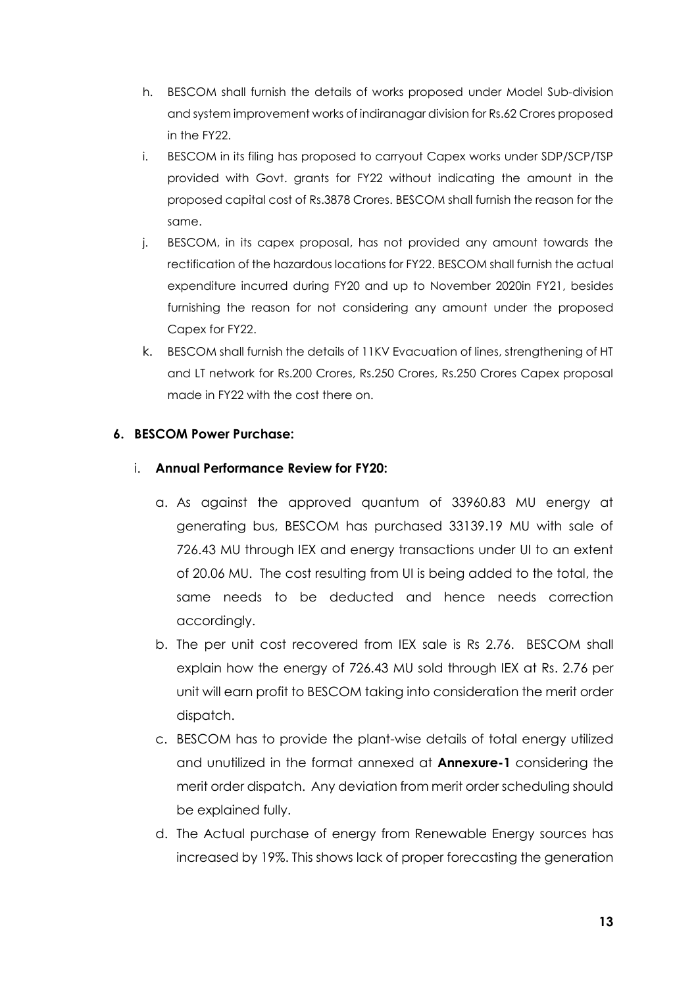- h. BESCOM shall furnish the details of works proposed under Model Sub-division and system improvement works of indiranagar division for Rs.62 Crores proposed in the FY22.
- i. BESCOM in its filing has proposed to carryout Capex works under SDP/SCP/TSP provided with Govt. grants for FY22 without indicating the amount in the proposed capital cost of Rs.3878 Crores. BESCOM shall furnish the reason for the same.
- j. BESCOM, in its capex proposal, has not provided any amount towards the rectification of the hazardous locations for FY22. BESCOM shall furnish the actual expenditure incurred during FY20 and up to November 2020in FY21, besides furnishing the reason for not considering any amount under the proposed Capex for FY22.
- k. BESCOM shall furnish the details of 11KV Evacuation of lines, strengthening of HT and LT network for Rs.200 Crores, Rs.250 Crores, Rs.250 Crores Capex proposal made in FY22 with the cost there on.

## **6. BESCOM Power Purchase:**

## i. **Annual Performance Review for FY20:**

- a. As against the approved quantum of 33960.83 MU energy at generating bus, BESCOM has purchased 33139.19 MU with sale of 726.43 MU through IEX and energy transactions under UI to an extent of 20.06 MU. The cost resulting from UI is being added to the total, the same needs to be deducted and hence needs correction accordingly.
- b. The per unit cost recovered from IEX sale is Rs 2.76. BESCOM shall explain how the energy of 726.43 MU sold through IEX at Rs. 2.76 per unit will earn profit to BESCOM taking into consideration the merit order dispatch.
- c. BESCOM has to provide the plant-wise details of total energy utilized and unutilized in the format annexed at **Annexure-1** considering the merit order dispatch. Any deviation from merit order scheduling should be explained fully.
- d. The Actual purchase of energy from Renewable Energy sources has increased by 19%. This shows lack of proper forecasting the generation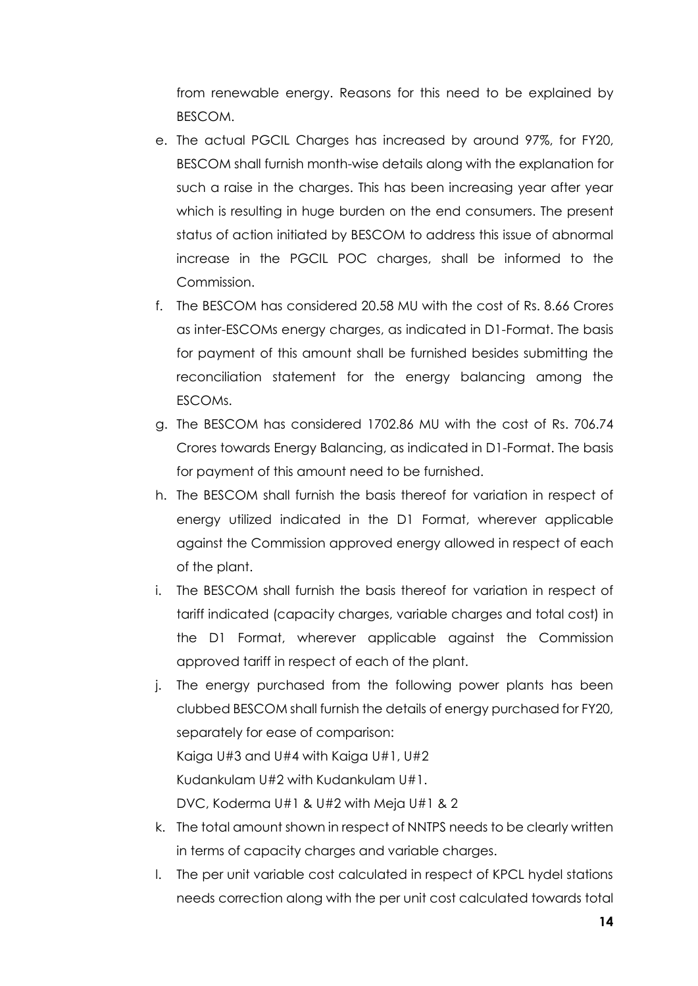from renewable energy. Reasons for this need to be explained by BESCOM.

- e. The actual PGCIL Charges has increased by around 97%, for FY20, BESCOM shall furnish month-wise details along with the explanation for such a raise in the charges. This has been increasing year after year which is resulting in huge burden on the end consumers. The present status of action initiated by BESCOM to address this issue of abnormal increase in the PGCIL POC charges, shall be informed to the Commission.
- f. The BESCOM has considered 20.58 MU with the cost of Rs. 8.66 Crores as inter-ESCOMs energy charges, as indicated in D1-Format. The basis for payment of this amount shall be furnished besides submitting the reconciliation statement for the energy balancing among the ESCOMs.
- g. The BESCOM has considered 1702.86 MU with the cost of Rs. 706.74 Crores towards Energy Balancing, as indicated in D1-Format. The basis for payment of this amount need to be furnished.
- h. The BESCOM shall furnish the basis thereof for variation in respect of energy utilized indicated in the D1 Format, wherever applicable against the Commission approved energy allowed in respect of each of the plant.
- i. The BESCOM shall furnish the basis thereof for variation in respect of tariff indicated (capacity charges, variable charges and total cost) in the D1 Format, wherever applicable against the Commission approved tariff in respect of each of the plant.
- j. The energy purchased from the following power plants has been clubbed BESCOM shall furnish the details of energy purchased for FY20, separately for ease of comparison: Kaiga U#3 and U#4 with Kaiga U#1, U#2 Kudankulam U#2 with Kudankulam U#1. DVC, Koderma U#1 & U#2 with Meja U#1 & 2
- k. The total amount shown in respect of NNTPS needs to be clearly written in terms of capacity charges and variable charges.
- l. The per unit variable cost calculated in respect of KPCL hydel stations needs correction along with the per unit cost calculated towards total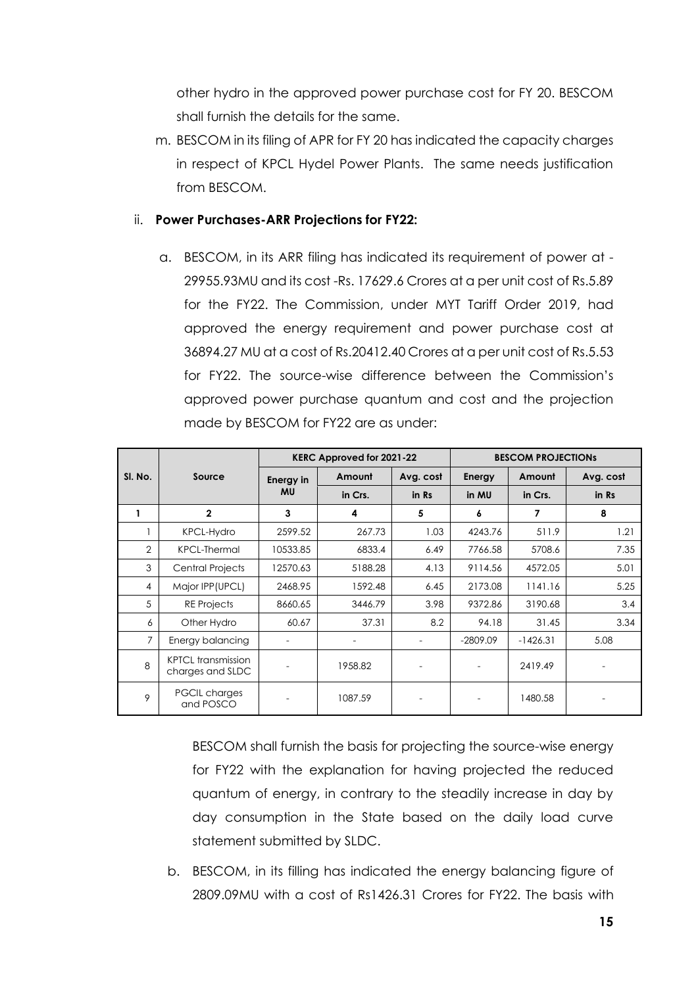other hydro in the approved power purchase cost for FY 20. BESCOM shall furnish the details for the same.

m. BESCOM in its filing of APR for FY 20 has indicated the capacity charges in respect of KPCL Hydel Power Plants. The same needs justification from BESCOM.

#### ii. **Power Purchases-ARR Projections for FY22:**

a. BESCOM, in its ARR filing has indicated its requirement of power at - 29955.93MU and its cost -Rs. 17629.6 Crores at a per unit cost of Rs.5.89 for the FY22. The Commission, under MYT Tariff Order 2019, had approved the energy requirement and power purchase cost at 36894.27 MU at a cost of Rs.20412.40 Crores at a per unit cost of Rs.5.53 for FY22. The source-wise difference between the Commission's approved power purchase quantum and cost and the projection made by BESCOM for FY22 are as under:

|         | KERC Approved for 2021-22                     |                  |         | <b>BESCOM PROJECTIONS</b> |               |                |           |
|---------|-----------------------------------------------|------------------|---------|---------------------------|---------------|----------------|-----------|
| SI. No. | Source                                        | <b>Energy in</b> | Amount  | Avg. cost                 | <b>Energy</b> | Amount         | Avg. cost |
|         |                                               | <b>MU</b>        | in Crs. | in Rs                     | in MU         | in Crs.        | in Rs     |
|         | $\mathbf{2}$                                  | 3                | 4       | 5                         | 6             | $\overline{7}$ | 8         |
|         | <b>KPCL-Hydro</b>                             | 2599.52          | 267.73  | 1.03                      | 4243.76       | 511.9          | 1.21      |
| 2       | <b>KPCL-Thermal</b>                           | 10533.85         | 6833.4  | 6.49                      | 7766.58       | 5708.6         | 7.35      |
| 3       | Central Projects                              | 12570.63         | 5188.28 | 4.13                      | 9114.56       | 4572.05        | 5.01      |
| 4       | Major IPP (UPCL)                              | 2468.95          | 1592.48 | 6.45                      | 2173.08       | 1141.16        | 5.25      |
| 5       | <b>RE</b> Projects                            | 8660.65          | 3446.79 | 3.98                      | 9372.86       | 3190.68        | 3.4       |
| 6       | Other Hydro                                   | 60.67            | 37.31   | 8.2                       | 94.18         | 31.45          | 3.34      |
| 7       | Energy balancing                              |                  |         |                           | $-2809.09$    | $-1426.31$     | 5.08      |
| 8       | <b>KPTCL</b> transmission<br>charges and SLDC |                  | 1958.82 |                           |               | 2419.49        |           |
| 9       | <b>PGCIL charges</b><br>and POSCO             |                  | 1087.59 |                           |               | 1480.58        |           |

BESCOM shall furnish the basis for projecting the source-wise energy for FY22 with the explanation for having projected the reduced quantum of energy, in contrary to the steadily increase in day by day consumption in the State based on the daily load curve statement submitted by SLDC.

b. BESCOM, in its filling has indicated the energy balancing figure of 2809.09MU with a cost of Rs1426.31 Crores for FY22. The basis with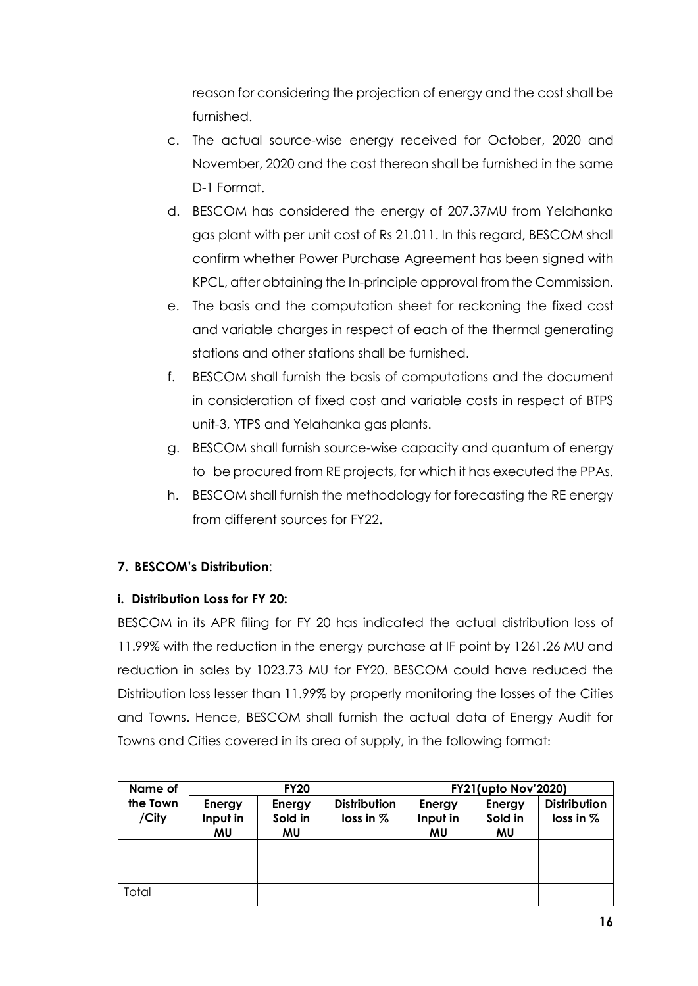reason for considering the projection of energy and the cost shall be furnished.

- c. The actual source-wise energy received for October, 2020 and November, 2020 and the cost thereon shall be furnished in the same D-1 Format.
- d. BESCOM has considered the energy of 207.37MU from Yelahanka gas plant with per unit cost of Rs 21.011. In this regard, BESCOM shall confirm whether Power Purchase Agreement has been signed with KPCL, after obtaining the In-principle approval from the Commission.
- e. The basis and the computation sheet for reckoning the fixed cost and variable charges in respect of each of the thermal generating stations and other stations shall be furnished.
- f. BESCOM shall furnish the basis of computations and the document in consideration of fixed cost and variable costs in respect of BTPS unit-3, YTPS and Yelahanka gas plants.
- g. BESCOM shall furnish source-wise capacity and quantum of energy to be procured from RE projects, for which it has executed the PPAs.
- h. BESCOM shall furnish the methodology for forecasting the RE energy from different sources for FY22**.**

## **7. BESCOM's Distribution**:

## **i. Distribution Loss for FY 20:**

BESCOM in its APR filing for FY 20 has indicated the actual distribution loss of 11.99% with the reduction in the energy purchase at IF point by 1261.26 MU and reduction in sales by 1023.73 MU for FY20. BESCOM could have reduced the Distribution loss lesser than 11.99% by properly monitoring the losses of the Cities and Towns. Hence, BESCOM shall furnish the actual data of Energy Audit for Towns and Cities covered in its area of supply, in the following format:

| Name of           | <b>FY20</b>              |                         |                                    | <b>FY21(upto Nov'2020)</b> |                         |                                    |
|-------------------|--------------------------|-------------------------|------------------------------------|----------------------------|-------------------------|------------------------------------|
| the Town<br>/City | Energy<br>Input in<br>ΜU | Energy<br>Sold in<br>MU | <b>Distribution</b><br>loss in $%$ | Energy<br>Input in<br>MU   | Energy<br>Sold in<br>MU | <b>Distribution</b><br>loss in $%$ |
|                   |                          |                         |                                    |                            |                         |                                    |
|                   |                          |                         |                                    |                            |                         |                                    |
| Total             |                          |                         |                                    |                            |                         |                                    |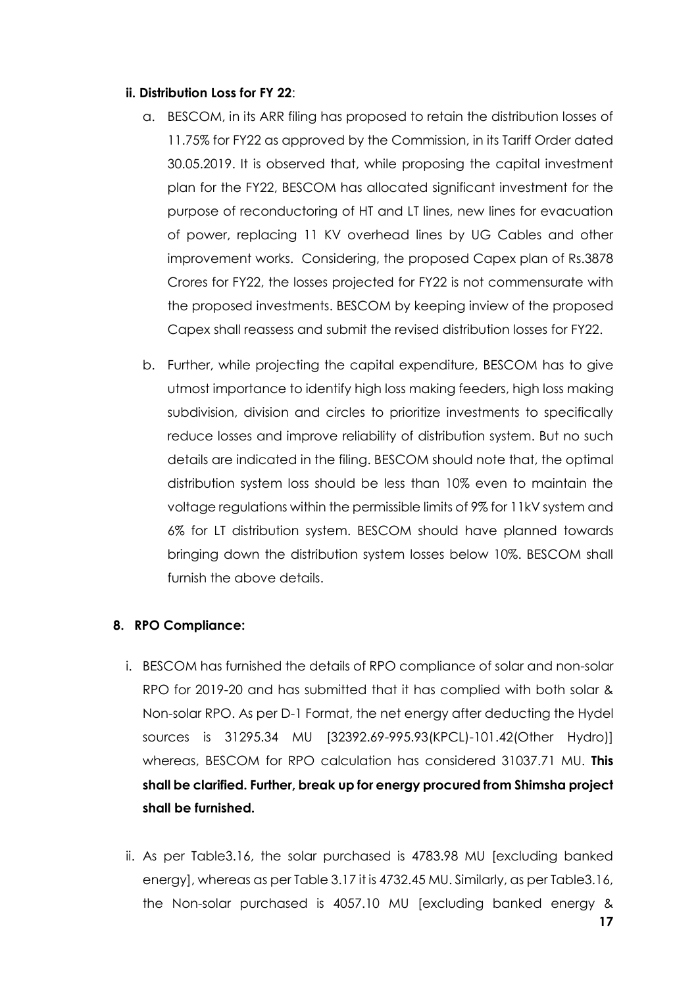#### **ii. Distribution Loss for FY 22**:

- a. BESCOM, in its ARR filing has proposed to retain the distribution losses of 11.75% for FY22 as approved by the Commission, in its Tariff Order dated 30.05.2019. It is observed that, while proposing the capital investment plan for the FY22, BESCOM has allocated significant investment for the purpose of reconductoring of HT and LT lines, new lines for evacuation of power, replacing 11 KV overhead lines by UG Cables and other improvement works. Considering, the proposed Capex plan of Rs.3878 Crores for FY22, the losses projected for FY22 is not commensurate with the proposed investments. BESCOM by keeping inview of the proposed Capex shall reassess and submit the revised distribution losses for FY22.
- b. Further, while projecting the capital expenditure, BESCOM has to give utmost importance to identify high loss making feeders, high loss making subdivision, division and circles to prioritize investments to specifically reduce losses and improve reliability of distribution system. But no such details are indicated in the filing. BESCOM should note that, the optimal distribution system loss should be less than 10% even to maintain the voltage regulations within the permissible limits of 9% for 11kV system and 6% for LT distribution system. BESCOM should have planned towards bringing down the distribution system losses below 10%. BESCOM shall furnish the above details.

## **8. RPO Compliance:**

- i. BESCOM has furnished the details of RPO compliance of solar and non-solar RPO for 2019-20 and has submitted that it has complied with both solar & Non-solar RPO. As per D-1 Format, the net energy after deducting the Hydel sources is 31295.34 MU [32392.69-995.93(KPCL)-101.42(Other Hydro)] whereas, BESCOM for RPO calculation has considered 31037.71 MU. **This shall be clarified. Further, break up for energy procured from Shimsha project shall be furnished.**
- ii. As per Table3.16, the solar purchased is 4783.98 MU [excluding banked energy], whereas as per Table 3.17 it is 4732.45 MU. Similarly, as per Table3.16, the Non-solar purchased is 4057.10 MU [excluding banked energy &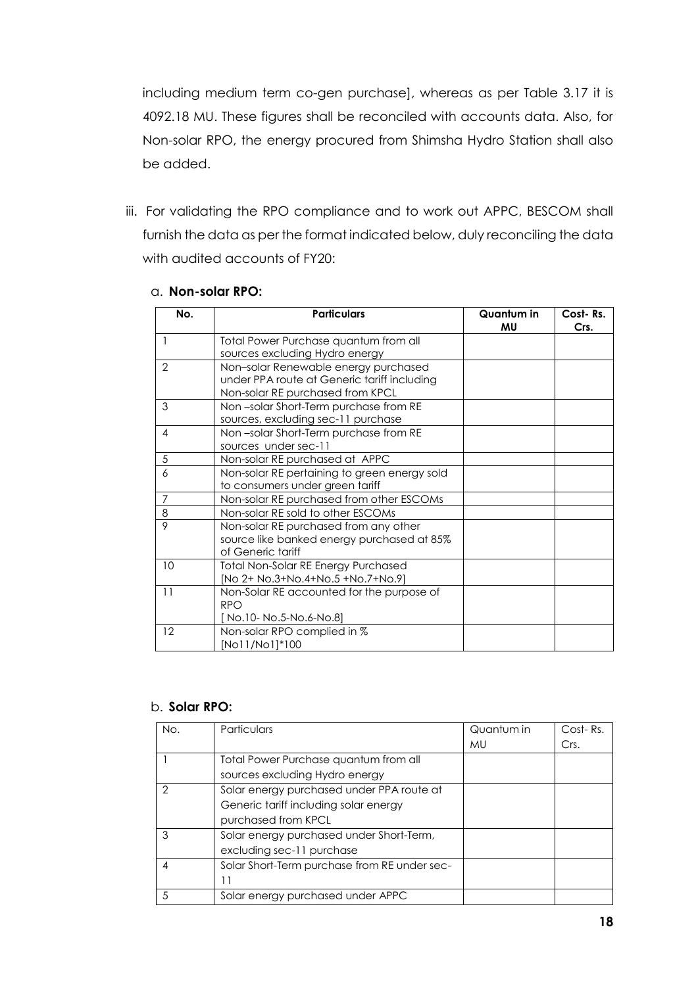including medium term co-gen purchase], whereas as per Table 3.17 it is 4092.18 MU. These figures shall be reconciled with accounts data. Also, for Non-solar RPO, the energy procured from Shimsha Hydro Station shall also be added.

iii. For validating the RPO compliance and to work out APPC, BESCOM shall furnish the data as per the format indicated below, duly reconciling the data with audited accounts of FY20:

| No.            | <b>Particulars</b>                           | Quantum in | Cost-Rs. |
|----------------|----------------------------------------------|------------|----------|
|                |                                              | MU         | Crs.     |
|                | Total Power Purchase quantum from all        |            |          |
|                | sources excluding Hydro energy               |            |          |
| 2              | Non-solar Renewable energy purchased         |            |          |
|                | under PPA route at Generic tariff including  |            |          |
|                | Non-solar RE purchased from KPCL             |            |          |
| 3              | Non-solar Short-Term purchase from RE        |            |          |
|                | sources, excluding sec-11 purchase           |            |          |
| 4              | Non-solar Short-Term purchase from RE        |            |          |
|                | sources under sec-11                         |            |          |
| 5              | Non-solar RE purchased at APPC               |            |          |
| 6              | Non-solar RE pertaining to green energy sold |            |          |
|                | to consumers under green tariff              |            |          |
| $\overline{7}$ | Non-solar RE purchased from other ESCOMs     |            |          |
| 8              | Non-solar RE sold to other ESCOMs            |            |          |
| 9              | Non-solar RE purchased from any other        |            |          |
|                | source like banked energy purchased at 85%   |            |          |
|                | of Generic tariff                            |            |          |
| 10             | Total Non-Solar RE Energy Purchased          |            |          |
|                | [No 2+ No.3+No.4+No.5 +No.7+No.9]            |            |          |
| 11             | Non-Solar RE accounted for the purpose of    |            |          |
|                | <b>RPO</b>                                   |            |          |
|                | [No.10-No.5-No.6-No.8]                       |            |          |
| 12             | Non-solar RPO complied in %                  |            |          |
|                | [No11/No1]*100                               |            |          |

#### a. **Non-solar RPO:**

#### b. **Solar RPO:**

| No. | <b>Particulars</b>                           | Quantum in | Cost-Rs. |
|-----|----------------------------------------------|------------|----------|
|     |                                              | MU         | Crs.     |
|     | Total Power Purchase quantum from all        |            |          |
|     | sources excluding Hydro energy               |            |          |
| 2   | Solar energy purchased under PPA route at    |            |          |
|     | Generic tariff including solar energy        |            |          |
|     | purchased from KPCL                          |            |          |
| 3   | Solar energy purchased under Short-Term,     |            |          |
|     | excluding sec-11 purchase                    |            |          |
|     | Solar Short-Term purchase from RE under sec- |            |          |
|     |                                              |            |          |
| 5   | Solar energy purchased under APPC            |            |          |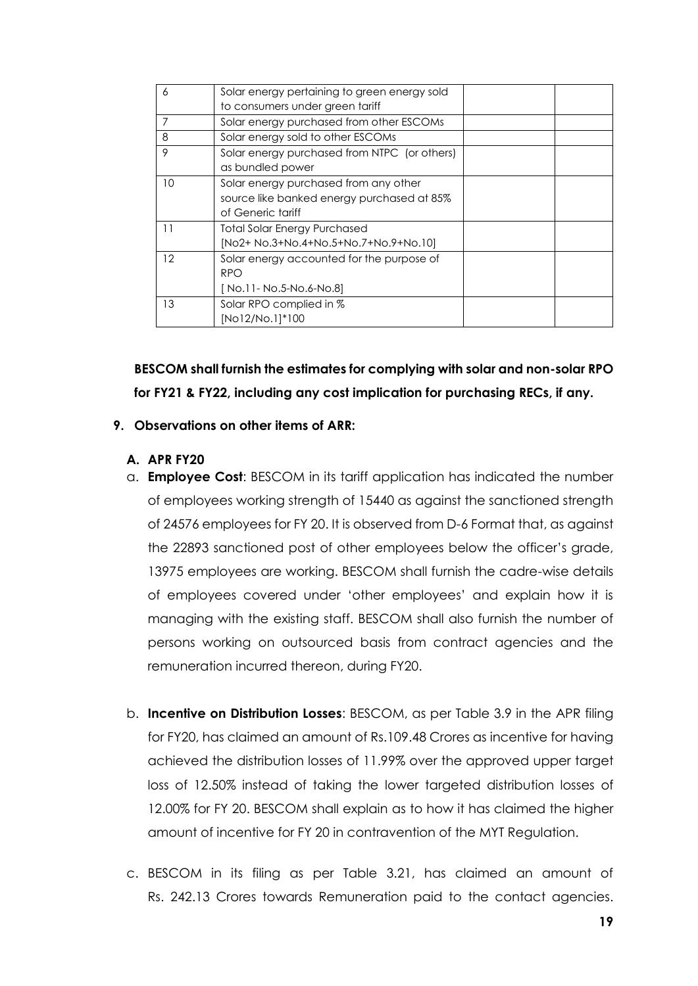| 6  | Solar energy pertaining to green energy sold |  |
|----|----------------------------------------------|--|
|    | to consumers under green tariff              |  |
|    | Solar energy purchased from other ESCOMs     |  |
| 8  | Solar energy sold to other ESCOMs            |  |
| 9  | Solar energy purchased from NTPC (or others) |  |
|    | as bundled power                             |  |
| 10 | Solar energy purchased from any other        |  |
|    | source like banked energy purchased at 85%   |  |
|    | of Generic tariff                            |  |
| 11 | <b>Total Solar Energy Purchased</b>          |  |
|    | [No2+ No.3+No.4+No.5+No.7+No.9+No.10]        |  |
| 12 | Solar energy accounted for the purpose of    |  |
|    | <b>RPO</b>                                   |  |
|    | [No.11- No.5-No.6-No.8]                      |  |
| 13 | Solar RPO complied in %                      |  |
|    | [No12/No.1]*100                              |  |

**BESCOM shall furnish the estimates for complying with solar and non-solar RPO for FY21 & FY22, including any cost implication for purchasing RECs, if any.**

#### **9. Observations on other items of ARR:**

#### **A. APR FY20**

- a. **Employee Cost**: BESCOM in its tariff application has indicated the number of employees working strength of 15440 as against the sanctioned strength of 24576 employees for FY 20. It is observed from D-6 Format that, as against the 22893 sanctioned post of other employees below the officer's grade, 13975 employees are working. BESCOM shall furnish the cadre-wise details of employees covered under 'other employees' and explain how it is managing with the existing staff. BESCOM shall also furnish the number of persons working on outsourced basis from contract agencies and the remuneration incurred thereon, during FY20.
- b. **Incentive on Distribution Losses**: BESCOM, as per Table 3.9 in the APR filing for FY20, has claimed an amount of Rs.109.48 Crores as incentive for having achieved the distribution losses of 11.99% over the approved upper target loss of 12.50% instead of taking the lower targeted distribution losses of 12.00% for FY 20. BESCOM shall explain as to how it has claimed the higher amount of incentive for FY 20 in contravention of the MYT Regulation.
- c. BESCOM in its filing as per Table 3.21, has claimed an amount of Rs. 242.13 Crores towards Remuneration paid to the contact agencies.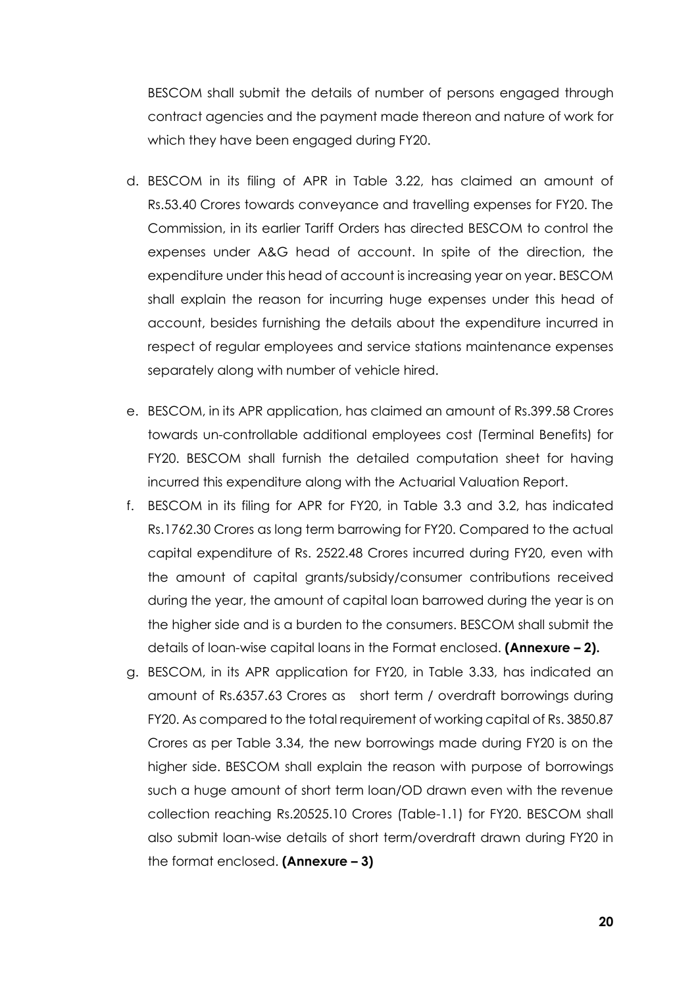BESCOM shall submit the details of number of persons engaged through contract agencies and the payment made thereon and nature of work for which they have been engaged during FY20.

- d. BESCOM in its filing of APR in Table 3.22, has claimed an amount of Rs.53.40 Crores towards conveyance and travelling expenses for FY20. The Commission, in its earlier Tariff Orders has directed BESCOM to control the expenses under A&G head of account. In spite of the direction, the expenditure under this head of account is increasing year on year. BESCOM shall explain the reason for incurring huge expenses under this head of account, besides furnishing the details about the expenditure incurred in respect of regular employees and service stations maintenance expenses separately along with number of vehicle hired.
- e. BESCOM, in its APR application, has claimed an amount of Rs.399.58 Crores towards un-controllable additional employees cost (Terminal Benefits) for FY20. BESCOM shall furnish the detailed computation sheet for having incurred this expenditure along with the Actuarial Valuation Report.
- f. BESCOM in its filing for APR for FY20, in Table 3.3 and 3.2, has indicated Rs.1762.30 Crores as long term barrowing for FY20. Compared to the actual capital expenditure of Rs. 2522.48 Crores incurred during FY20, even with the amount of capital grants/subsidy/consumer contributions received during the year, the amount of capital loan barrowed during the year is on the higher side and is a burden to the consumers. BESCOM shall submit the details of loan-wise capital loans in the Format enclosed. **(Annexure – 2).**
- g. BESCOM, in its APR application for FY20, in Table 3.33, has indicated an amount of Rs.6357.63 Crores as short term / overdraft borrowings during FY20. As compared to the total requirement of working capital of Rs. 3850.87 Crores as per Table 3.34, the new borrowings made during FY20 is on the higher side. BESCOM shall explain the reason with purpose of borrowings such a huge amount of short term loan/OD drawn even with the revenue collection reaching Rs.20525.10 Crores (Table-1.1) for FY20. BESCOM shall also submit loan-wise details of short term/overdraft drawn during FY20 in the format enclosed. **(Annexure – 3)**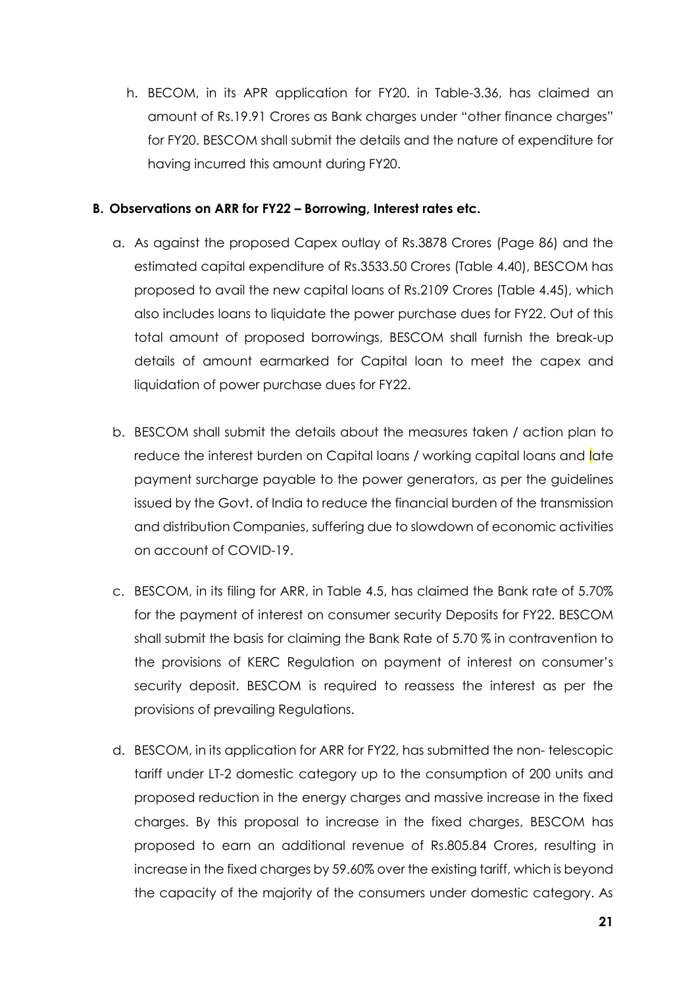h. BECOM, in its APR application for FY20. in Table-3.36, has claimed an amount of Rs.19.91 Crores as Bank charges under "other finance charges" for FY20. BESCOM shall submit the details and the nature of expenditure for having incurred this amount during FY20.

#### **B. Observations on ARR for FY22 – Borrowing, Interest rates etc.**

- a. As against the proposed Capex outlay of Rs.3878 Crores (Page 86) and the estimated capital expenditure of Rs.3533.50 Crores (Table 4.40), BESCOM has proposed to avail the new capital loans of Rs.2109 Crores (Table 4.45), which also includes loans to liquidate the power purchase dues for FY22. Out of this total amount of proposed borrowings, BESCOM shall furnish the break-up details of amount earmarked for Capital loan to meet the capex and liquidation of power purchase dues for FY22.
- b. BESCOM shall submit the details about the measures taken / action plan to reduce the interest burden on Capital loans / working capital loans and late payment surcharge payable to the power generators, as per the guidelines issued by the Govt. of India to reduce the financial burden of the transmission and distribution Companies, suffering due to slowdown of economic activities on account of COVID-19.
- c. BESCOM, in its filing for ARR, in Table 4.5, has claimed the Bank rate of 5.70% for the payment of interest on consumer security Deposits for FY22. BESCOM shall submit the basis for claiming the Bank Rate of 5.70 % in contravention to the provisions of KERC Regulation on payment of interest on consumer's security deposit. BESCOM is required to reassess the interest as per the provisions of prevailing Regulations.
- d. BESCOM, in its application for ARR for FY22, has submitted the non- telescopic tariff under LT-2 domestic category up to the consumption of 200 units and proposed reduction in the energy charges and massive increase in the fixed charges. By this proposal to increase in the fixed charges, BESCOM has proposed to earn an additional revenue of Rs.805.84 Crores, resulting in increase in the fixed charges by 59.60% over the existing tariff, which is beyond the capacity of the majority of the consumers under domestic category. As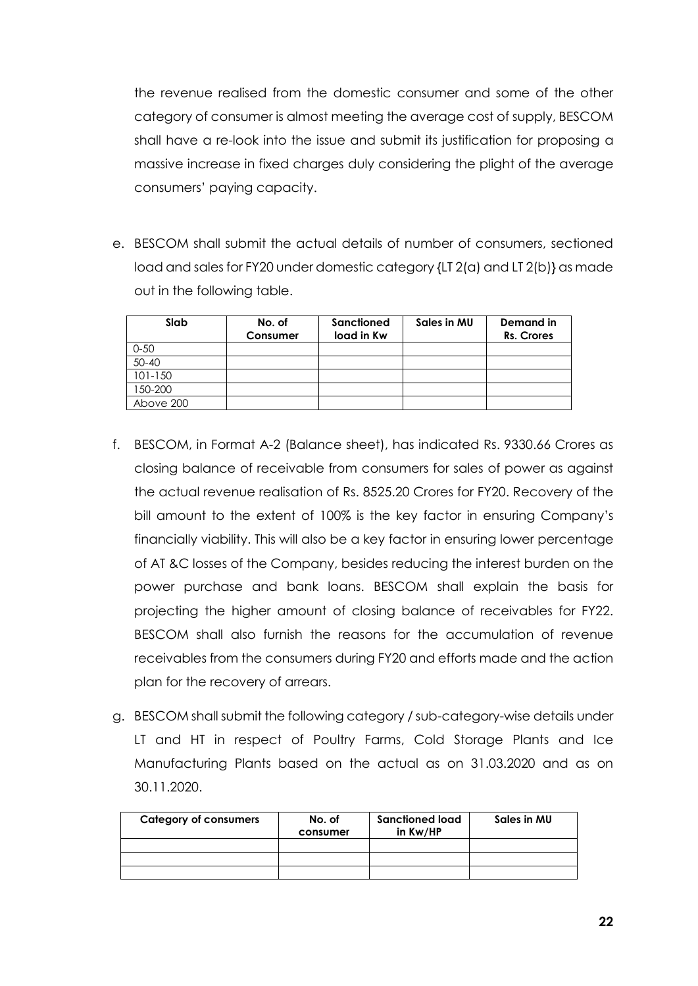the revenue realised from the domestic consumer and some of the other category of consumer is almost meeting the average cost of supply, BESCOM shall have a re-look into the issue and submit its justification for proposing a massive increase in fixed charges duly considering the plight of the average consumers' paying capacity.

e. BESCOM shall submit the actual details of number of consumers, sectioned load and sales for FY20 under domestic category {LT 2(a) and LT 2(b)} as made out in the following table.

| Slab      | No. of<br>Consumer | Sanctioned<br>load in Kw | Sales in MU | Demand in<br>Rs. Crores |
|-----------|--------------------|--------------------------|-------------|-------------------------|
| $0 - 50$  |                    |                          |             |                         |
| $50 - 40$ |                    |                          |             |                         |
| 101-150   |                    |                          |             |                         |
| 150-200   |                    |                          |             |                         |
| Above 200 |                    |                          |             |                         |

- f. BESCOM, in Format A-2 (Balance sheet), has indicated Rs. 9330.66 Crores as closing balance of receivable from consumers for sales of power as against the actual revenue realisation of Rs. 8525.20 Crores for FY20. Recovery of the bill amount to the extent of 100% is the key factor in ensuring Company's financially viability. This will also be a key factor in ensuring lower percentage of AT &C losses of the Company, besides reducing the interest burden on the power purchase and bank loans. BESCOM shall explain the basis for projecting the higher amount of closing balance of receivables for FY22. BESCOM shall also furnish the reasons for the accumulation of revenue receivables from the consumers during FY20 and efforts made and the action plan for the recovery of arrears.
- g. BESCOM shall submit the following category / sub-category-wise details under LT and HT in respect of Poultry Farms, Cold Storage Plants and Ice Manufacturing Plants based on the actual as on 31.03.2020 and as on 30.11.2020.

| <b>Category of consumers</b> | No. of<br>consumer | Sanctioned load<br>in Kw/HP | Sales in MU |
|------------------------------|--------------------|-----------------------------|-------------|
|                              |                    |                             |             |
|                              |                    |                             |             |
|                              |                    |                             |             |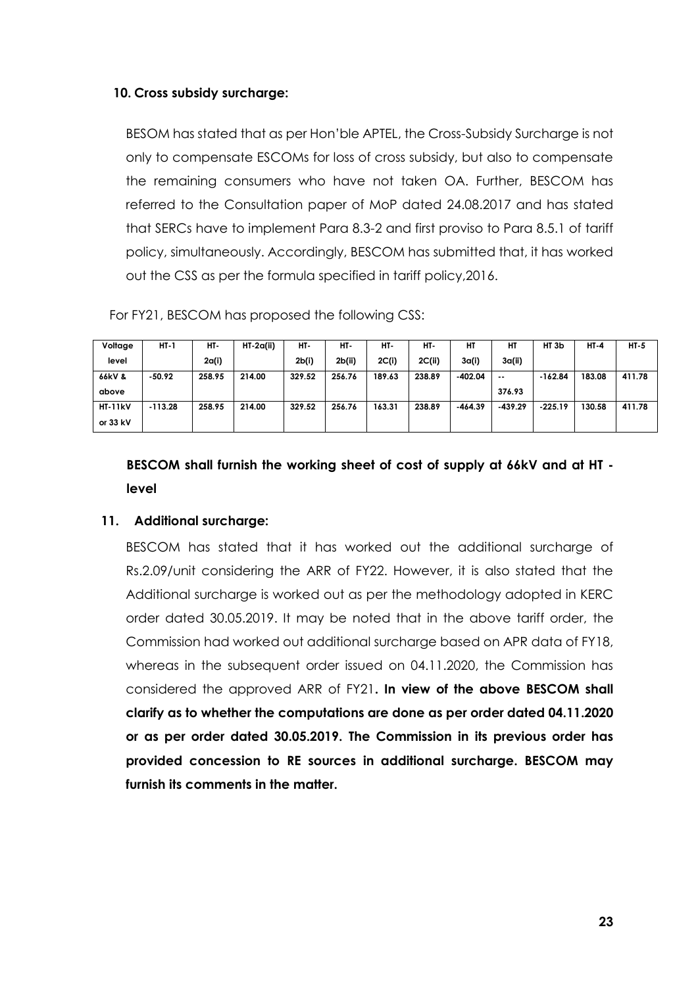#### **10. Cross subsidy surcharge:**

BESOM has stated that as per Hon'ble APTEL, the Cross-Subsidy Surcharge is not only to compensate ESCOMs for loss of cross subsidy, but also to compensate the remaining consumers who have not taken OA. Further, BESCOM has referred to the Consultation paper of MoP dated 24.08.2017 and has stated that SERCs have to implement Para 8.3-2 and first proviso to Para 8.5.1 of tariff policy, simultaneously. Accordingly, BESCOM has submitted that, it has worked out the CSS as per the formula specified in tariff policy,2016.

For FY21, BESCOM has proposed the following CSS:

| Voltage        | HT-1      | HT-    | $HT-2q(ii)$ | HT-    | HT-    | HT-    | HT-    | HТ        | HТ            | HT <sub>3</sub> b | $HI-4$ | $HI-5$ |
|----------------|-----------|--------|-------------|--------|--------|--------|--------|-----------|---------------|-------------------|--------|--------|
| level          |           | 2a(i)  |             | 2b(i)  | 2b(ii) | 2C(i)  | 2C(ii) | 3a(i)     | 3a(ii)        |                   |        |        |
| 66kV &         | $-50.92$  | 258.95 | 214.00      | 329.52 | 256.76 | 189.63 | 238.89 | $-402.04$ | $\sim$ $\sim$ | $-162.84$         | 183.08 | 411.78 |
| above          |           |        |             |        |        |        |        |           | 376.93        |                   |        |        |
| <b>HT-11kV</b> | $-113.28$ | 258.95 | 214.00      | 329.52 | 256.76 | 163.31 | 238.89 | $-464.39$ | $-439.29$     | $-225.19$         | 130.58 | 411.78 |
| or $33$ kV     |           |        |             |        |        |        |        |           |               |                   |        |        |

**BESCOM shall furnish the working sheet of cost of supply at 66kV and at HT level**

#### **11. Additional surcharge:**

BESCOM has stated that it has worked out the additional surcharge of Rs.2.09/unit considering the ARR of FY22. However, it is also stated that the Additional surcharge is worked out as per the methodology adopted in KERC order dated 30.05.2019. It may be noted that in the above tariff order, the Commission had worked out additional surcharge based on APR data of FY18, whereas in the subsequent order issued on 04.11.2020, the Commission has considered the approved ARR of FY21**. In view of the above BESCOM shall clarify as to whether the computations are done as per order dated 04.11.2020 or as per order dated 30.05.2019. The Commission in its previous order has provided concession to RE sources in additional surcharge. BESCOM may furnish its comments in the matter.**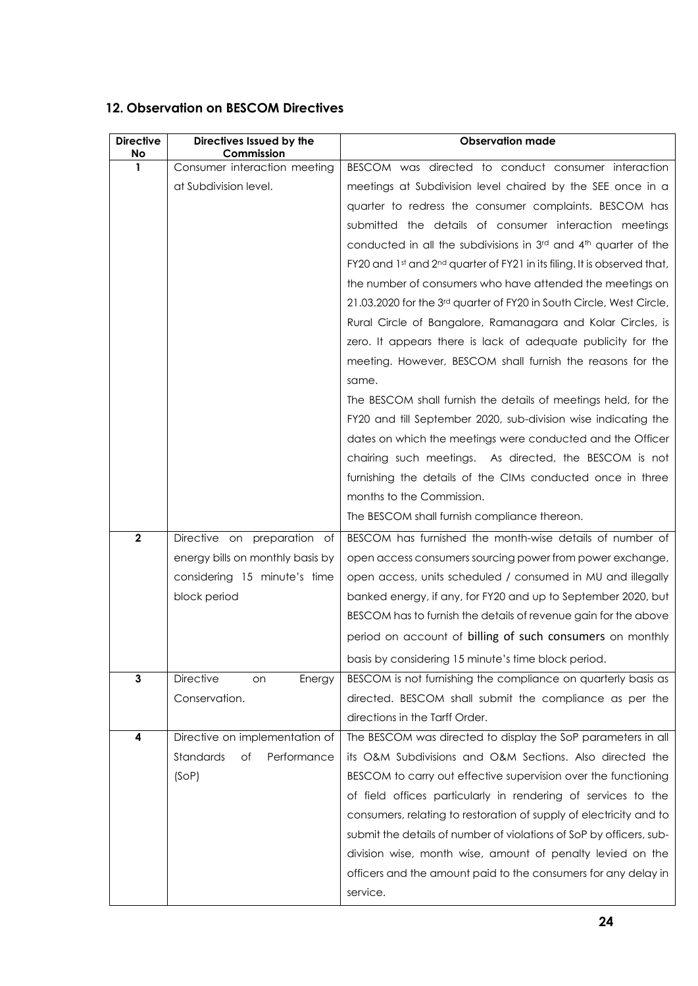#### **12. Observation on BESCOM Directives**

| <b>Directive</b><br>No | Directives Issued by the<br>Commission | <b>Observation made</b>                                                              |
|------------------------|----------------------------------------|--------------------------------------------------------------------------------------|
| 1                      | Consumer interaction meeting           | BESCOM was directed to conduct consumer interaction                                  |
|                        | at Subdivision level.                  | meetings at Subdivision level chaired by the SEE once in a                           |
|                        |                                        | quarter to redress the consumer complaints. BESCOM has                               |
|                        |                                        | submitted the details of consumer interaction meetings                               |
|                        |                                        | conducted in all the subdivisions in 3rd and 4th quarter of the                      |
|                        |                                        | FY20 and 1st and 2 <sup>nd</sup> quarter of FY21 in its filing. It is observed that, |
|                        |                                        | the number of consumers who have attended the meetings on                            |
|                        |                                        | 21.03.2020 for the 3rd quarter of FY20 in South Circle, West Circle,                 |
|                        |                                        | Rural Circle of Bangalore, Ramanagara and Kolar Circles, is                          |
|                        |                                        | zero. It appears there is lack of adequate publicity for the                         |
|                        |                                        | meeting. However, BESCOM shall furnish the reasons for the                           |
|                        |                                        | same.                                                                                |
|                        |                                        | The BESCOM shall furnish the details of meetings held, for the                       |
|                        |                                        | FY20 and till September 2020, sub-division wise indicating the                       |
|                        |                                        | dates on which the meetings were conducted and the Officer                           |
|                        |                                        | chairing such meetings. As directed, the BESCOM is not                               |
|                        |                                        | furnishing the details of the CIMs conducted once in three                           |
|                        |                                        | months to the Commission.                                                            |
|                        |                                        | The BESCOM shall furnish compliance thereon.                                         |
|                        |                                        |                                                                                      |
| $\mathbf{2}$           | Directive on preparation of            | BESCOM has furnished the month-wise details of number of                             |
|                        | energy bills on monthly basis by       | open access consumers sourcing power from power exchange,                            |
|                        | considering 15 minute's time           | open access, units scheduled / consumed in MU and illegally                          |
|                        | block period                           | banked energy, if any, for FY20 and up to September 2020, but                        |
|                        |                                        | BESCOM has to furnish the details of revenue gain for the above                      |
|                        |                                        | period on account of billing of such consumers on monthly                            |
|                        |                                        | basis by considering 15 minute's time block period.                                  |
| 3                      | Directive<br>Energy<br>on              | BESCOM is not furnishing the compliance on quarterly basis as                        |
|                        | Conservation.                          | directed. BESCOM shall submit the compliance as per the                              |
|                        |                                        | directions in the Tarff Order.                                                       |
| 4                      | Directive on implementation of         | The BESCOM was directed to display the SoP parameters in all                         |
|                        | Standards<br>Performance<br>оf         | its O&M Subdivisions and O&M Sections. Also directed the                             |
|                        | (SOP)                                  | BESCOM to carry out effective supervision over the functioning                       |
|                        |                                        | of field offices particularly in rendering of services to the                        |
|                        |                                        | consumers, relating to restoration of supply of electricity and to                   |
|                        |                                        | submit the details of number of violations of SoP by officers, sub-                  |
|                        |                                        | division wise, month wise, amount of penalty levied on the                           |
|                        |                                        | officers and the amount paid to the consumers for any delay in                       |
|                        |                                        | service.                                                                             |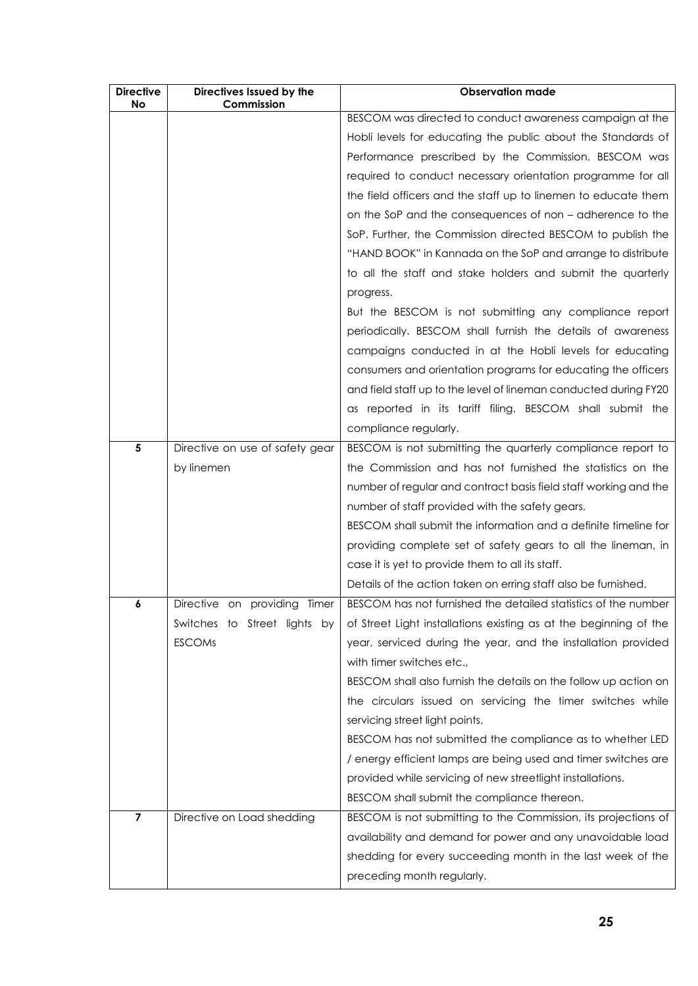| <b>Directive</b><br><b>No</b> | Directives Issued by the<br>Commission | <b>Observation made</b>                                           |
|-------------------------------|----------------------------------------|-------------------------------------------------------------------|
|                               |                                        | BESCOM was directed to conduct awareness campaign at the          |
|                               |                                        | Hobli levels for educating the public about the Standards of      |
|                               |                                        | Performance prescribed by the Commission. BESCOM was              |
|                               |                                        | required to conduct necessary orientation programme for all       |
|                               |                                        | the field officers and the staff up to linemen to educate them    |
|                               |                                        | on the SoP and the consequences of non – adherence to the         |
|                               |                                        | SoP. Further, the Commission directed BESCOM to publish the       |
|                               |                                        | "HAND BOOK" in Kannada on the SoP and arrange to distribute       |
|                               |                                        | to all the staff and stake holders and submit the quarterly       |
|                               |                                        | progress.                                                         |
|                               |                                        | But the BESCOM is not submitting any compliance report            |
|                               |                                        | periodically. BESCOM shall furnish the details of awareness       |
|                               |                                        | campaigns conducted in at the Hobli levels for educating          |
|                               |                                        | consumers and orientation programs for educating the officers     |
|                               |                                        | and field staff up to the level of lineman conducted during FY20  |
|                               |                                        | as reported in its tariff filing. BESCOM shall submit the         |
|                               |                                        | compliance regularly.                                             |
| 5                             | Directive on use of safety gear        | BESCOM is not submitting the quarterly compliance report to       |
|                               | by linemen                             | the Commission and has not furnished the statistics on the        |
|                               |                                        | number of regular and contract basis field staff working and the  |
|                               |                                        | number of staff provided with the safety gears.                   |
|                               |                                        | BESCOM shall submit the information and a definite timeline for   |
|                               |                                        | providing complete set of safety gears to all the lineman, in     |
|                               |                                        | case it is yet to provide them to all its staff.                  |
|                               |                                        | Details of the action taken on erring staff also be furnished.    |
| 6                             | Directive on providing<br>Timer        | BESCOM has not furnished the detailed statistics of the number    |
|                               | Switches to Street lights by           | of Street Light installations existing as at the beginning of the |
|                               | <b>ESCOMs</b>                          | year, serviced during the year, and the installation provided     |
|                               |                                        | with timer switches etc.,                                         |
|                               |                                        | BESCOM shall also furnish the details on the follow up action on  |
|                               |                                        | the circulars issued on servicing the timer switches while        |
|                               |                                        | servicing street light points.                                    |
|                               |                                        | BESCOM has not submitted the compliance as to whether LED         |
|                               |                                        | / energy efficient lamps are being used and timer switches are    |
|                               |                                        | provided while servicing of new streetlight installations.        |
|                               |                                        | BESCOM shall submit the compliance thereon.                       |
| $\overline{7}$                | Directive on Load shedding             | BESCOM is not submitting to the Commission, its projections of    |
|                               |                                        | availability and demand for power and any unavoidable load        |
|                               |                                        | shedding for every succeeding month in the last week of the       |
|                               |                                        | preceding month regularly.                                        |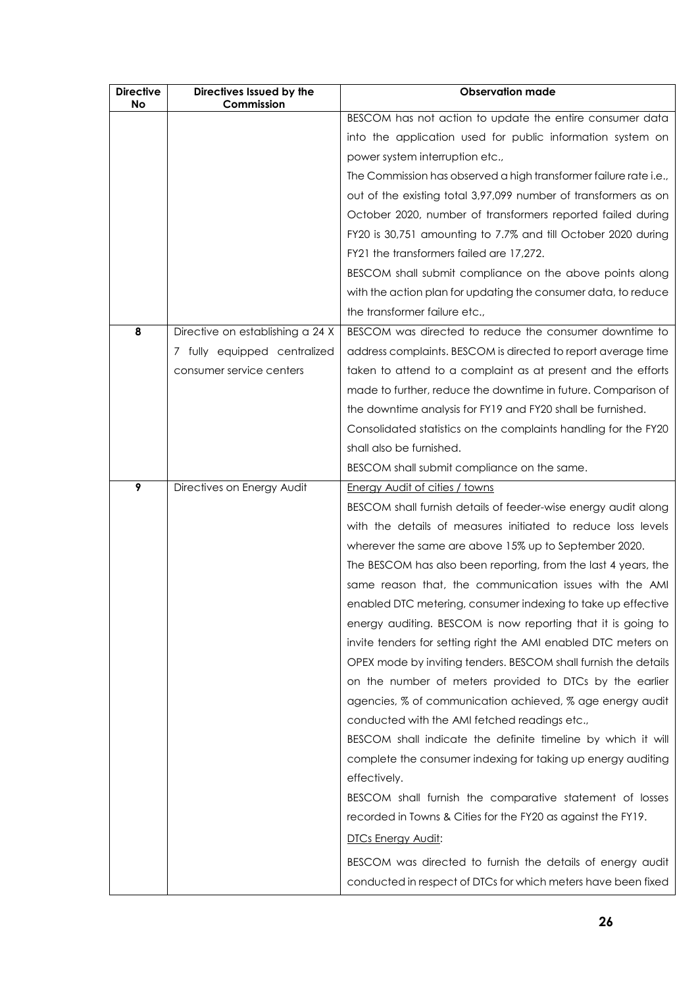| <b>Directive</b><br>No | Directives Issued by the<br>Commission | <b>Observation made</b>                                           |
|------------------------|----------------------------------------|-------------------------------------------------------------------|
|                        |                                        | BESCOM has not action to update the entire consumer data          |
|                        |                                        | into the application used for public information system on        |
|                        |                                        | power system interruption etc.,                                   |
|                        |                                        | The Commission has observed a high transformer failure rate i.e., |
|                        |                                        | out of the existing total 3,97,099 number of transformers as on   |
|                        |                                        | October 2020, number of transformers reported failed during       |
|                        |                                        | FY20 is 30,751 amounting to 7.7% and till October 2020 during     |
|                        |                                        | FY21 the transformers failed are 17,272.                          |
|                        |                                        | BESCOM shall submit compliance on the above points along          |
|                        |                                        | with the action plan for updating the consumer data, to reduce    |
|                        |                                        | the transformer failure etc.,                                     |
| 8                      | Directive on establishing a 24 X       | BESCOM was directed to reduce the consumer downtime to            |
|                        | 7 fully equipped centralized           | address complaints. BESCOM is directed to report average time     |
|                        |                                        |                                                                   |
|                        | consumer service centers               | taken to attend to a complaint as at present and the efforts      |
|                        |                                        | made to further, reduce the downtime in future. Comparison of     |
|                        |                                        | the downtime analysis for FY19 and FY20 shall be furnished.       |
|                        |                                        | Consolidated statistics on the complaints handling for the FY20   |
|                        |                                        | shall also be furnished.                                          |
|                        |                                        | BESCOM shall submit compliance on the same.                       |
| 9                      | Directives on Energy Audit             | <b>Energy Audit of cities / towns</b>                             |
|                        |                                        | BESCOM shall furnish details of feeder-wise energy audit along    |
|                        |                                        | with the details of measures initiated to reduce loss levels      |
|                        |                                        | wherever the same are above 15% up to September 2020.             |
|                        |                                        | The BESCOM has also been reporting, from the last 4 years, the    |
|                        |                                        | same reason that, the communication issues with the AMI           |
|                        |                                        | enabled DTC metering, consumer indexing to take up effective      |
|                        |                                        | energy auditing. BESCOM is now reporting that it is going to      |
|                        |                                        | invite tenders for setting right the AMI enabled DTC meters on    |
|                        |                                        | OPEX mode by inviting tenders. BESCOM shall furnish the details   |
|                        |                                        | on the number of meters provided to DTCs by the earlier           |
|                        |                                        | agencies, % of communication achieved, % age energy audit         |
|                        |                                        | conducted with the AMI fetched readings etc.,                     |
|                        |                                        | BESCOM shall indicate the definite timeline by which it will      |
|                        |                                        | complete the consumer indexing for taking up energy auditing      |
|                        |                                        | effectively.                                                      |
|                        |                                        | BESCOM shall furnish the comparative statement of losses          |
|                        |                                        | recorded in Towns & Cities for the FY20 as against the FY19.      |
|                        |                                        | <b>DTCs Energy Audit:</b>                                         |
|                        |                                        | BESCOM was directed to furnish the details of energy audit        |
|                        |                                        | conducted in respect of DTCs for which meters have been fixed     |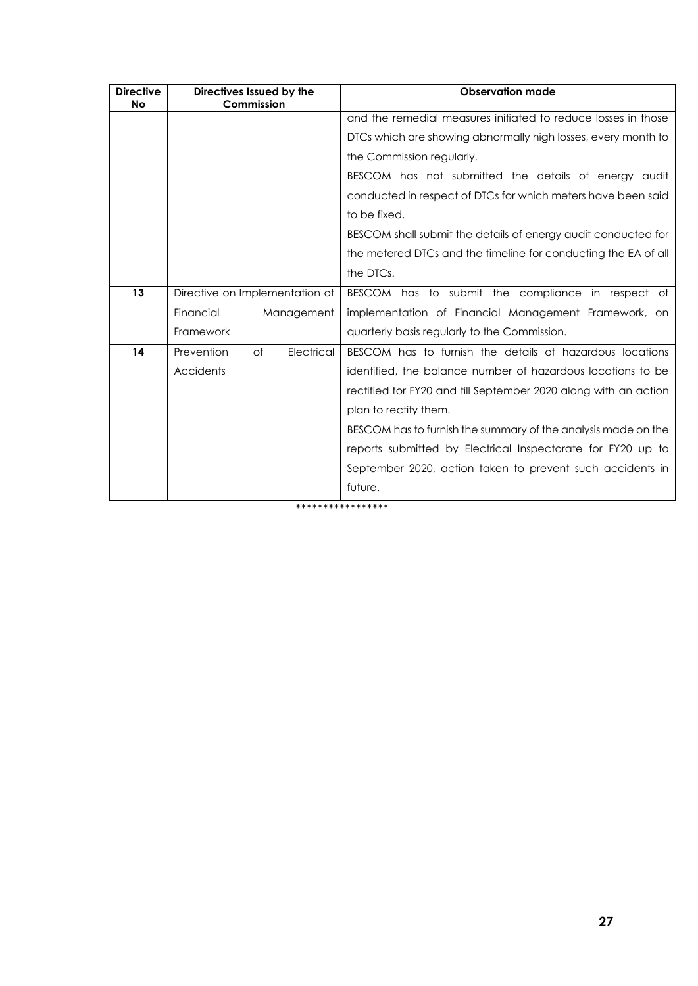| <b>Directive</b><br>No | Directives Issued by the<br>Commission | <b>Observation made</b>                                         |  |  |  |  |
|------------------------|----------------------------------------|-----------------------------------------------------------------|--|--|--|--|
|                        |                                        | and the remedial measures initiated to reduce losses in those   |  |  |  |  |
|                        |                                        | DTCs which are showing abnormally high losses, every month to   |  |  |  |  |
|                        |                                        | the Commission regularly.                                       |  |  |  |  |
|                        |                                        | BESCOM has not submitted the details of energy audit            |  |  |  |  |
|                        |                                        | conducted in respect of DTCs for which meters have been said    |  |  |  |  |
|                        |                                        | to be fixed.                                                    |  |  |  |  |
|                        |                                        | BESCOM shall submit the details of energy audit conducted for   |  |  |  |  |
|                        |                                        | the metered DTCs and the timeline for conducting the EA of all  |  |  |  |  |
|                        |                                        | the DTCs.                                                       |  |  |  |  |
| 13                     | Directive on Implementation of         | BESCOM has to submit the compliance in respect of               |  |  |  |  |
|                        | Financial<br>Management                | implementation of Financial Management Framework, on            |  |  |  |  |
|                        | Framework                              | quarterly basis regularly to the Commission.                    |  |  |  |  |
| 14                     | Prevention<br>Electrical<br>of         | BESCOM has to furnish the details of hazardous locations        |  |  |  |  |
|                        | Accidents                              | identified, the balance number of hazardous locations to be     |  |  |  |  |
|                        |                                        | rectified for FY20 and till September 2020 along with an action |  |  |  |  |
|                        |                                        | plan to rectify them.                                           |  |  |  |  |
|                        |                                        | BESCOM has to furnish the summary of the analysis made on the   |  |  |  |  |
|                        |                                        | reports submitted by Electrical Inspectorate for FY20 up to     |  |  |  |  |
|                        |                                        | September 2020, action taken to prevent such accidents in       |  |  |  |  |
|                        |                                        | future.                                                         |  |  |  |  |

\*\*\*\*\*\*\*\*\*\*\*\*\*\*\*\*\*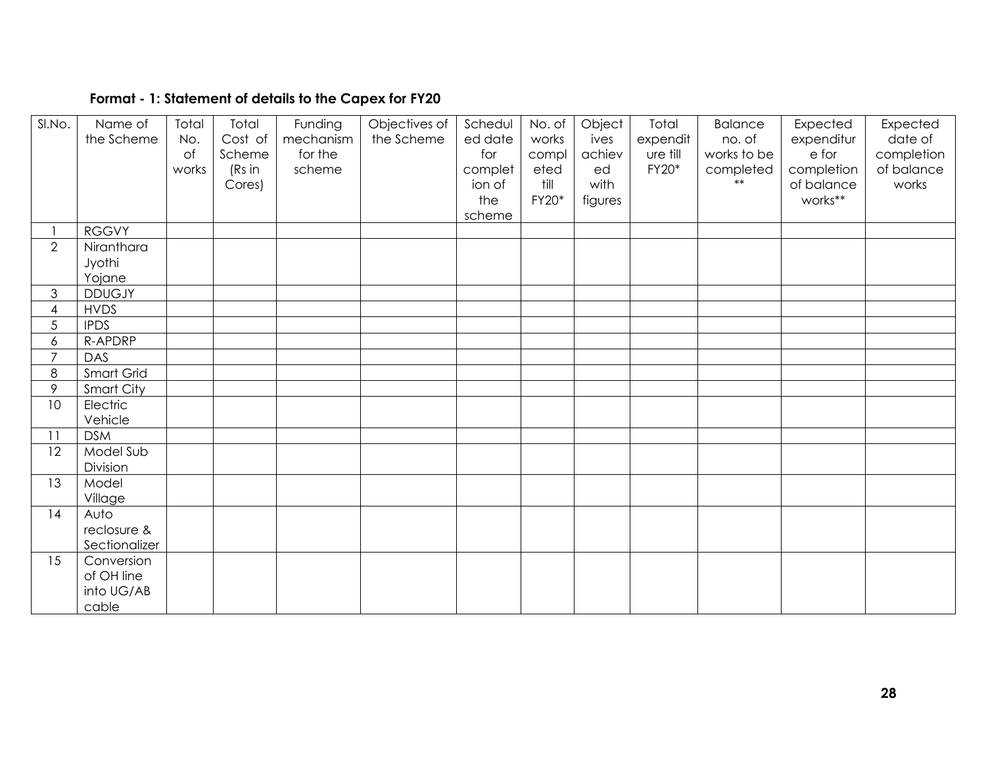## **Format - 1: Statement of details to the Capex for FY20**

| SI.No.         | Name of<br>the Scheme | Total<br>No.<br>of<br>works | Total<br>Cost of<br>Scheme<br>(Rs in<br>Cores) | Funding<br>mechanism<br>for the<br>scheme | Objectives of<br>the Scheme | Schedul<br>ed date<br>for<br>complet<br>ion of<br>the<br>scheme | No. of<br>works<br>compl<br>eted<br>till<br>FY20* | Object<br>ives<br>achiev<br>ed<br>with<br>figures | Total<br>expendit<br>ure till<br>FY20* | <b>Balance</b><br>no. of<br>works to be<br>completed | Expected<br>expenditur<br>e for<br>completion<br>of balance<br>works** | Expected<br>date of<br>completion<br>of balance<br>works |
|----------------|-----------------------|-----------------------------|------------------------------------------------|-------------------------------------------|-----------------------------|-----------------------------------------------------------------|---------------------------------------------------|---------------------------------------------------|----------------------------------------|------------------------------------------------------|------------------------------------------------------------------------|----------------------------------------------------------|
|                | <b>RGGVY</b>          |                             |                                                |                                           |                             |                                                                 |                                                   |                                                   |                                        |                                                      |                                                                        |                                                          |
| $\overline{2}$ | Niranthara            |                             |                                                |                                           |                             |                                                                 |                                                   |                                                   |                                        |                                                      |                                                                        |                                                          |
|                | Jyothi                |                             |                                                |                                           |                             |                                                                 |                                                   |                                                   |                                        |                                                      |                                                                        |                                                          |
|                | Yojane                |                             |                                                |                                           |                             |                                                                 |                                                   |                                                   |                                        |                                                      |                                                                        |                                                          |
| 3              | <b>DDUGJY</b>         |                             |                                                |                                           |                             |                                                                 |                                                   |                                                   |                                        |                                                      |                                                                        |                                                          |
| 4              | <b>HVDS</b>           |                             |                                                |                                           |                             |                                                                 |                                                   |                                                   |                                        |                                                      |                                                                        |                                                          |
| 5              | <b>IPDS</b>           |                             |                                                |                                           |                             |                                                                 |                                                   |                                                   |                                        |                                                      |                                                                        |                                                          |
| 6              | R-APDRP               |                             |                                                |                                           |                             |                                                                 |                                                   |                                                   |                                        |                                                      |                                                                        |                                                          |
| $\overline{7}$ | DAS                   |                             |                                                |                                           |                             |                                                                 |                                                   |                                                   |                                        |                                                      |                                                                        |                                                          |
| 8              | Smart Grid            |                             |                                                |                                           |                             |                                                                 |                                                   |                                                   |                                        |                                                      |                                                                        |                                                          |
| 9              | Smart City            |                             |                                                |                                           |                             |                                                                 |                                                   |                                                   |                                        |                                                      |                                                                        |                                                          |
| 10             | Electric<br>Vehicle   |                             |                                                |                                           |                             |                                                                 |                                                   |                                                   |                                        |                                                      |                                                                        |                                                          |
| 11             | <b>DSM</b>            |                             |                                                |                                           |                             |                                                                 |                                                   |                                                   |                                        |                                                      |                                                                        |                                                          |
| 12             | Model Sub             |                             |                                                |                                           |                             |                                                                 |                                                   |                                                   |                                        |                                                      |                                                                        |                                                          |
|                | Division              |                             |                                                |                                           |                             |                                                                 |                                                   |                                                   |                                        |                                                      |                                                                        |                                                          |
| 13             | Model                 |                             |                                                |                                           |                             |                                                                 |                                                   |                                                   |                                        |                                                      |                                                                        |                                                          |
|                | Village               |                             |                                                |                                           |                             |                                                                 |                                                   |                                                   |                                        |                                                      |                                                                        |                                                          |
| 14             | Auto                  |                             |                                                |                                           |                             |                                                                 |                                                   |                                                   |                                        |                                                      |                                                                        |                                                          |
|                | reclosure &           |                             |                                                |                                           |                             |                                                                 |                                                   |                                                   |                                        |                                                      |                                                                        |                                                          |
|                | Sectionalizer         |                             |                                                |                                           |                             |                                                                 |                                                   |                                                   |                                        |                                                      |                                                                        |                                                          |
| 15             | Conversion            |                             |                                                |                                           |                             |                                                                 |                                                   |                                                   |                                        |                                                      |                                                                        |                                                          |
|                | of OH line            |                             |                                                |                                           |                             |                                                                 |                                                   |                                                   |                                        |                                                      |                                                                        |                                                          |
|                | into UG/AB            |                             |                                                |                                           |                             |                                                                 |                                                   |                                                   |                                        |                                                      |                                                                        |                                                          |
|                | cable                 |                             |                                                |                                           |                             |                                                                 |                                                   |                                                   |                                        |                                                      |                                                                        |                                                          |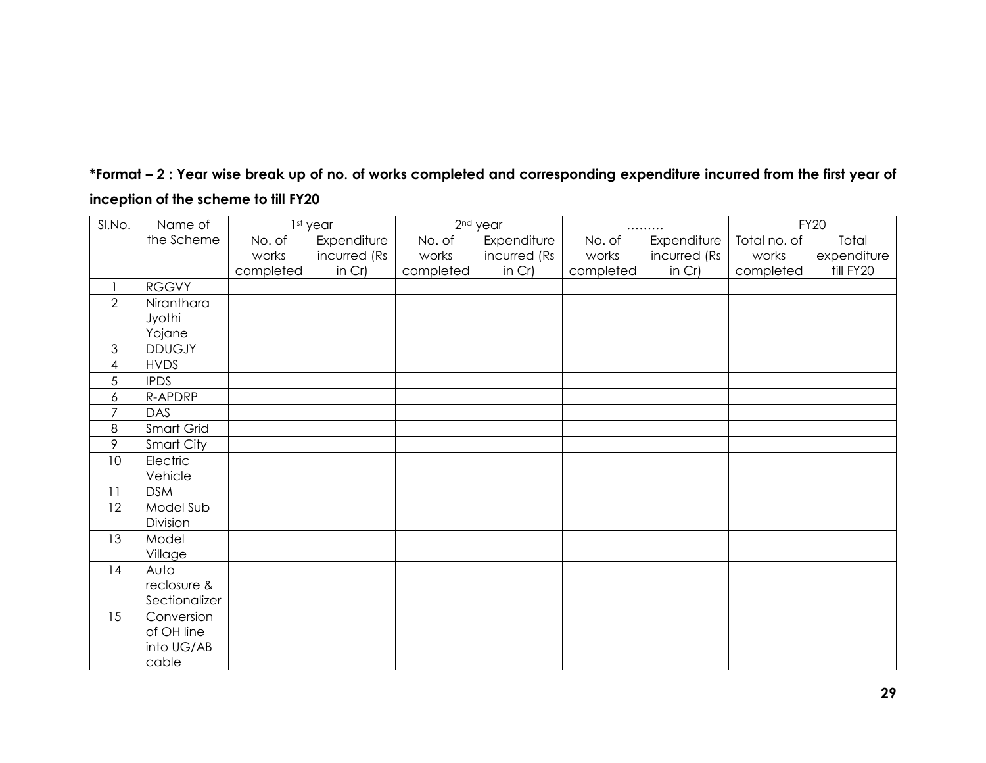| *Format – 2 : Year wise break up of no. of works completed and corresponding expenditure incurred from the first year of |  |  |
|--------------------------------------------------------------------------------------------------------------------------|--|--|
| inception of the scheme to till FY20                                                                                     |  |  |

| SI.No.         | Name of       |           | 1st year     |           | 2 <sup>nd</sup> year |           |              | <b>FY20</b>  |             |
|----------------|---------------|-----------|--------------|-----------|----------------------|-----------|--------------|--------------|-------------|
|                | the Scheme    | No. of    | Expenditure  | No. of    | Expenditure          | No. of    | Expenditure  | Total no. of | Total       |
|                |               | works     | incurred (Rs | works     | incurred (Rs         | works     | incurred (Rs | works        | expenditure |
|                |               | completed | in $Cr$ )    | completed | in $Cr$ )            | completed | in $Cr$ )    | completed    | till FY20   |
|                | <b>RGGVY</b>  |           |              |           |                      |           |              |              |             |
| $\overline{2}$ | Niranthara    |           |              |           |                      |           |              |              |             |
|                | Jyothi        |           |              |           |                      |           |              |              |             |
|                | Yojane        |           |              |           |                      |           |              |              |             |
| 3              | <b>DDUGJY</b> |           |              |           |                      |           |              |              |             |
| 4              | <b>HVDS</b>   |           |              |           |                      |           |              |              |             |
| 5              | <b>IPDS</b>   |           |              |           |                      |           |              |              |             |
| 6              | R-APDRP       |           |              |           |                      |           |              |              |             |
| 7              | DAS           |           |              |           |                      |           |              |              |             |
| 8              | Smart Grid    |           |              |           |                      |           |              |              |             |
| 9              | Smart City    |           |              |           |                      |           |              |              |             |
| 10             | Electric      |           |              |           |                      |           |              |              |             |
|                | Vehicle       |           |              |           |                      |           |              |              |             |
| 11             | <b>DSM</b>    |           |              |           |                      |           |              |              |             |
| 12             | Model Sub     |           |              |           |                      |           |              |              |             |
|                | Division      |           |              |           |                      |           |              |              |             |
| 13             | Model         |           |              |           |                      |           |              |              |             |
|                | Village       |           |              |           |                      |           |              |              |             |
| 14             | Auto          |           |              |           |                      |           |              |              |             |
|                | reclosure &   |           |              |           |                      |           |              |              |             |
|                | Sectionalizer |           |              |           |                      |           |              |              |             |
| 15             | Conversion    |           |              |           |                      |           |              |              |             |
|                | of OH line    |           |              |           |                      |           |              |              |             |
|                | into UG/AB    |           |              |           |                      |           |              |              |             |
|                | cable         |           |              |           |                      |           |              |              |             |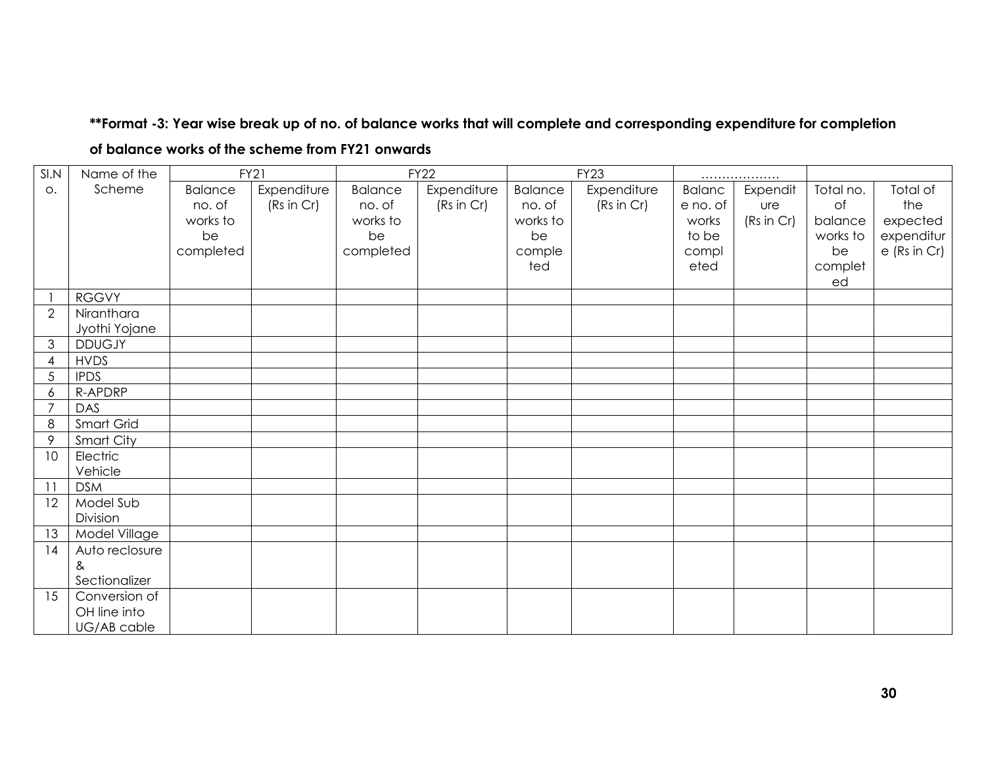## **\*\*Format -3: Year wise break up of no. of balance works that will complete and corresponding expenditure for completion**

| SI.N            | Name of the    |                | <b>FY21</b> |                | <b>FY22</b> |                | <b>FY23</b> |               | .          |           |              |
|-----------------|----------------|----------------|-------------|----------------|-------------|----------------|-------------|---------------|------------|-----------|--------------|
| O.              | Scheme         | <b>Balance</b> | Expenditure | <b>Balance</b> | Expenditure | <b>Balance</b> | Expenditure | <b>Balanc</b> | Expendit   | Total no. | Total of     |
|                 |                | no. of         | (Rs in Cr)  | no. of         | (Rs in Cr)  | no. of         | (Rs in Cr)  | e no. of      | <b>ure</b> | of        | the          |
|                 |                | works to       |             | works to       |             | works to       |             | works         | (Rs in Cr) | balance   | expected     |
|                 |                | be             |             | be             |             | be             |             | to be         |            | works to  | expenditur   |
|                 |                | completed      |             | completed      |             | comple         |             | compl         |            | be        | e (Rs in Cr) |
|                 |                |                |             |                |             | ted            |             | eted          |            | complet   |              |
|                 |                |                |             |                |             |                |             |               |            | ed        |              |
|                 | <b>RGGVY</b>   |                |             |                |             |                |             |               |            |           |              |
| $\overline{2}$  | Niranthara     |                |             |                |             |                |             |               |            |           |              |
|                 | Jyothi Yojane  |                |             |                |             |                |             |               |            |           |              |
| $\mathfrak{S}$  | <b>DDUGJY</b>  |                |             |                |             |                |             |               |            |           |              |
| 4               | <b>HVDS</b>    |                |             |                |             |                |             |               |            |           |              |
| $\sqrt{5}$      | <b>IPDS</b>    |                |             |                |             |                |             |               |            |           |              |
| 6               | R-APDRP        |                |             |                |             |                |             |               |            |           |              |
| $\overline{7}$  | DAS            |                |             |                |             |                |             |               |            |           |              |
| 8               | Smart Grid     |                |             |                |             |                |             |               |            |           |              |
| 9               | Smart City     |                |             |                |             |                |             |               |            |           |              |
| 10              | Electric       |                |             |                |             |                |             |               |            |           |              |
|                 | Vehicle        |                |             |                |             |                |             |               |            |           |              |
| $\overline{11}$ | <b>DSM</b>     |                |             |                |             |                |             |               |            |           |              |
| 12              | Model Sub      |                |             |                |             |                |             |               |            |           |              |
|                 | Division       |                |             |                |             |                |             |               |            |           |              |
| 13              | Model Village  |                |             |                |             |                |             |               |            |           |              |
| 14              | Auto reclosure |                |             |                |             |                |             |               |            |           |              |
|                 | &              |                |             |                |             |                |             |               |            |           |              |
|                 | Sectionalizer  |                |             |                |             |                |             |               |            |           |              |
| 15              | Conversion of  |                |             |                |             |                |             |               |            |           |              |
|                 | OH line into   |                |             |                |             |                |             |               |            |           |              |
|                 | UG/AB cable    |                |             |                |             |                |             |               |            |           |              |

**of balance works of the scheme from FY21 onwards**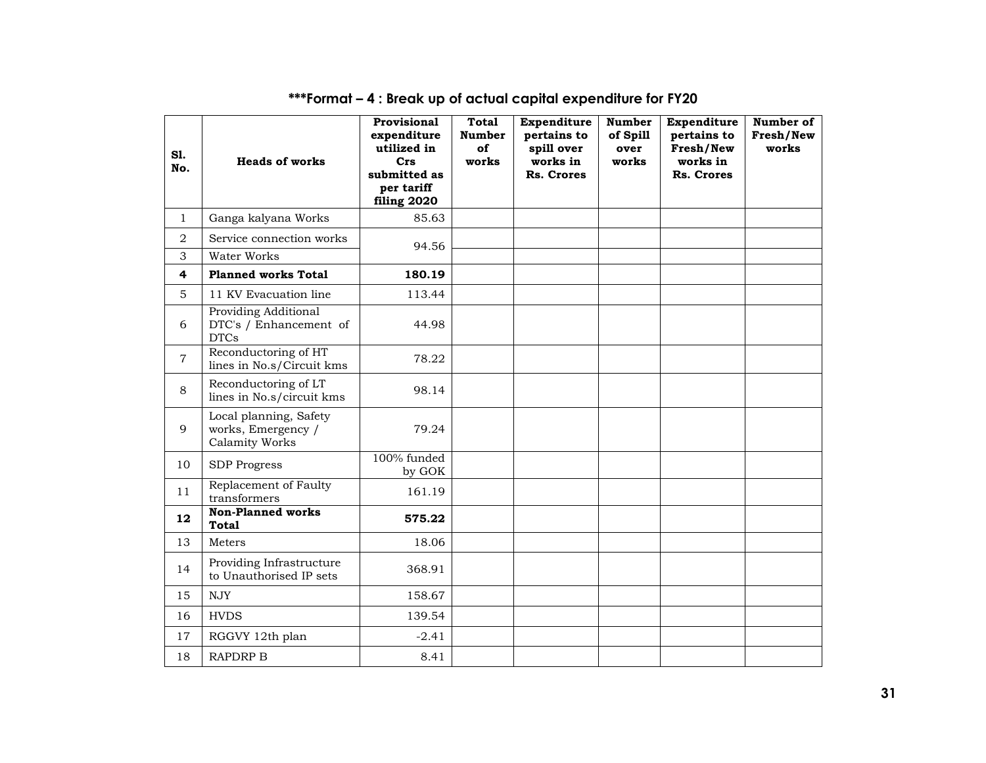| S1.<br>No.     | <b>Heads of works</b>                                                | Provisional<br>expenditure<br>utilized in<br>Crs<br>submitted as<br>per tariff<br>filing 2020 | <b>Total</b><br><b>Number</b><br>of<br>works | Expenditure<br>pertains to<br>spill over<br>works in<br>Rs. Crores | <b>Number</b><br>of Spill<br>over<br>works | Expenditure<br>pertains to<br>Fresh/New<br>works in<br><b>Rs. Crores</b> | Number of<br>Fresh/New<br>works |
|----------------|----------------------------------------------------------------------|-----------------------------------------------------------------------------------------------|----------------------------------------------|--------------------------------------------------------------------|--------------------------------------------|--------------------------------------------------------------------------|---------------------------------|
| $\mathbf{1}$   | Ganga kalyana Works                                                  | 85.63                                                                                         |                                              |                                                                    |                                            |                                                                          |                                 |
| $\overline{2}$ | Service connection works                                             | 94.56                                                                                         |                                              |                                                                    |                                            |                                                                          |                                 |
| 3              | Water Works                                                          |                                                                                               |                                              |                                                                    |                                            |                                                                          |                                 |
| 4              | <b>Planned works Total</b>                                           | 180.19                                                                                        |                                              |                                                                    |                                            |                                                                          |                                 |
| 5              | 11 KV Evacuation line                                                | 113.44                                                                                        |                                              |                                                                    |                                            |                                                                          |                                 |
| 6              | <b>Providing Additional</b><br>DTC's / Enhancement of<br><b>DTCs</b> | 44.98                                                                                         |                                              |                                                                    |                                            |                                                                          |                                 |
| $\overline{7}$ | Reconductoring of HT<br>lines in No.s/Circuit kms                    | 78.22                                                                                         |                                              |                                                                    |                                            |                                                                          |                                 |
| 8              | Reconductoring of LT<br>lines in No.s/circuit kms                    | 98.14                                                                                         |                                              |                                                                    |                                            |                                                                          |                                 |
| 9              | Local planning, Safety<br>works, Emergency /<br>Calamity Works       | 79.24                                                                                         |                                              |                                                                    |                                            |                                                                          |                                 |
| 10             | <b>SDP</b> Progress                                                  | 100% funded<br>by GOK                                                                         |                                              |                                                                    |                                            |                                                                          |                                 |
| 11             | Replacement of Faulty<br>transformers                                | 161.19                                                                                        |                                              |                                                                    |                                            |                                                                          |                                 |
| 12             | <b>Non-Planned works</b><br><b>Total</b>                             | 575.22                                                                                        |                                              |                                                                    |                                            |                                                                          |                                 |
| 13             | Meters                                                               | 18.06                                                                                         |                                              |                                                                    |                                            |                                                                          |                                 |
| 14             | Providing Infrastructure<br>to Unauthorised IP sets                  | 368.91                                                                                        |                                              |                                                                    |                                            |                                                                          |                                 |
| 15             | <b>NJY</b>                                                           | 158.67                                                                                        |                                              |                                                                    |                                            |                                                                          |                                 |
| 16             | <b>HVDS</b>                                                          | 139.54                                                                                        |                                              |                                                                    |                                            |                                                                          |                                 |
| 17             | RGGVY 12th plan                                                      | $-2.41$                                                                                       |                                              |                                                                    |                                            |                                                                          |                                 |
| 18             | <b>RAPDRP B</b>                                                      | 8.41                                                                                          |                                              |                                                                    |                                            |                                                                          |                                 |

# **\*\*\*Format – 4 : Break up of actual capital expenditure for FY20**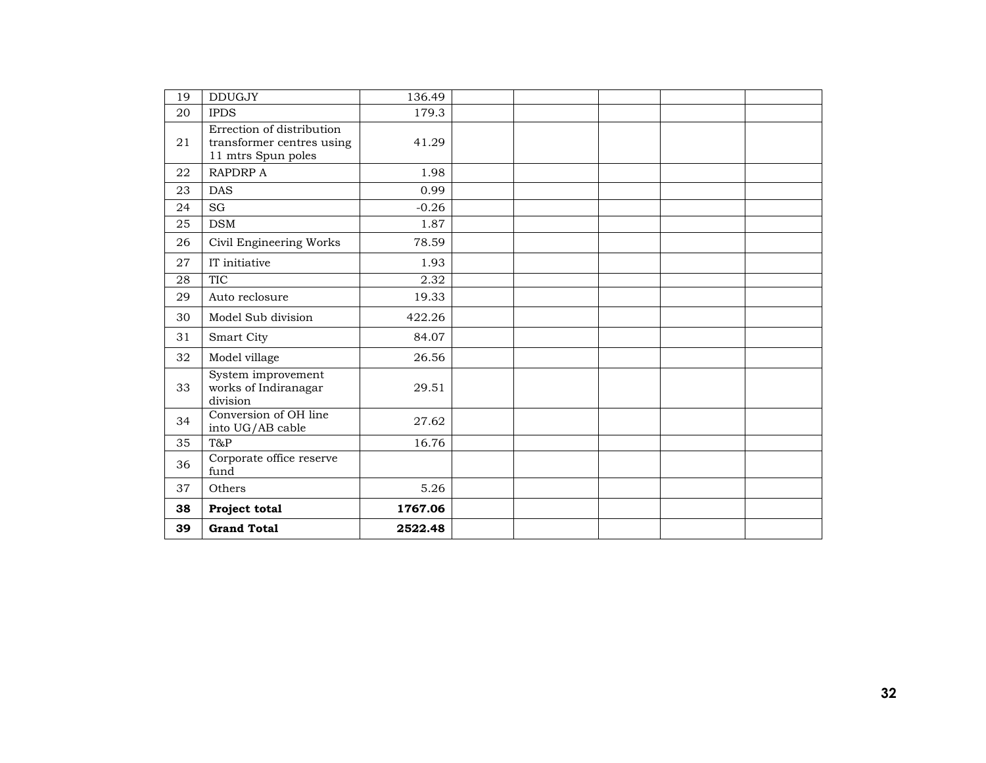| 19 | <b>DDUGJY</b>                                                                | 136.49  |  |  |  |
|----|------------------------------------------------------------------------------|---------|--|--|--|
| 20 | <b>IPDS</b>                                                                  | 179.3   |  |  |  |
| 21 | Errection of distribution<br>transformer centres using<br>11 mtrs Spun poles | 41.29   |  |  |  |
| 22 | <b>RAPDRP A</b>                                                              | 1.98    |  |  |  |
| 23 | <b>DAS</b>                                                                   | 0.99    |  |  |  |
| 24 | SG                                                                           | $-0.26$ |  |  |  |
| 25 | <b>DSM</b>                                                                   | 1.87    |  |  |  |
| 26 | Civil Engineering Works                                                      | 78.59   |  |  |  |
| 27 | IT initiative                                                                | 1.93    |  |  |  |
| 28 | <b>TIC</b>                                                                   | 2.32    |  |  |  |
| 29 | Auto reclosure                                                               | 19.33   |  |  |  |
| 30 | Model Sub division                                                           | 422.26  |  |  |  |
| 31 | Smart City                                                                   | 84.07   |  |  |  |
| 32 | Model village                                                                | 26.56   |  |  |  |
| 33 | System improvement<br>works of Indiranagar<br>division                       | 29.51   |  |  |  |
| 34 | Conversion of OH line<br>into UG/AB cable                                    | 27.62   |  |  |  |
| 35 | T&P                                                                          | 16.76   |  |  |  |
| 36 | Corporate office reserve<br>fund                                             |         |  |  |  |
| 37 | Others                                                                       | 5.26    |  |  |  |
| 38 | Project total                                                                | 1767.06 |  |  |  |
| 39 | <b>Grand Total</b>                                                           | 2522.48 |  |  |  |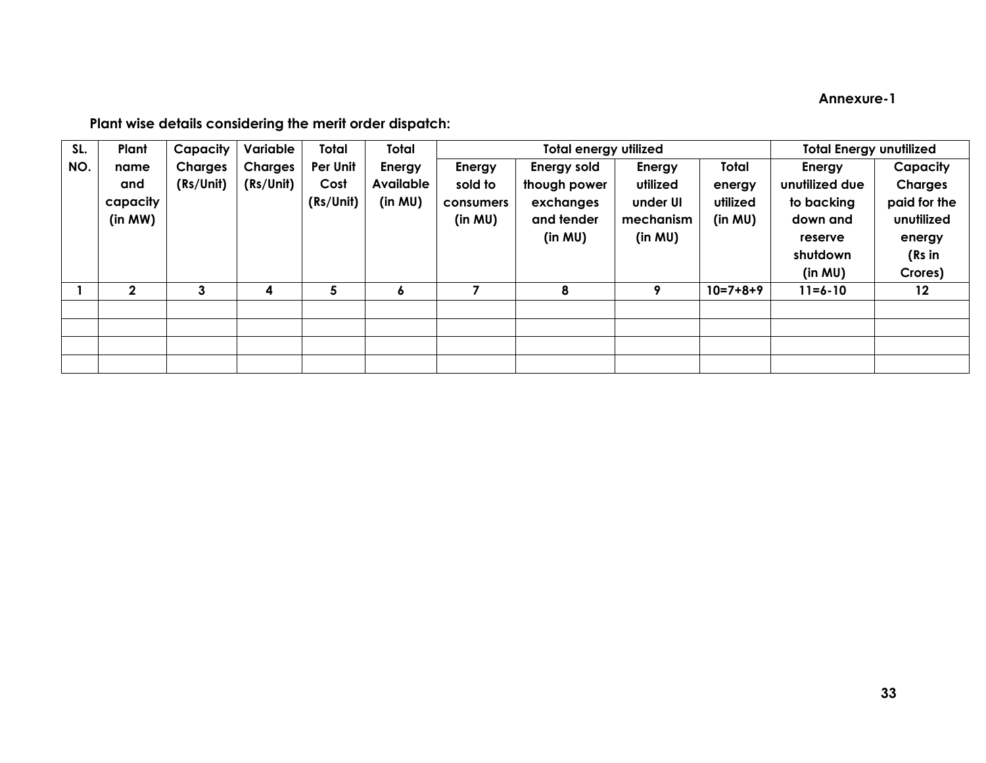## **Annexure-1**

## **Plant wise details considering the merit order dispatch:**

| SL. | Plant        | Capacity       | Variable       | Total     | Total            |           | <b>Total energy utilized</b> | <b>Total Energy unutilized</b> |            |                |                |
|-----|--------------|----------------|----------------|-----------|------------------|-----------|------------------------------|--------------------------------|------------|----------------|----------------|
| NO. | name         | <b>Charges</b> | <b>Charges</b> | Per Unit  | Energy           | Energy    | Energy sold                  | Energy                         | Total      | Energy         | Capacity       |
|     | and          | (Rs/Unit)      | (Rs/Unit)      | Cost      | <b>Available</b> | sold to   | though power                 | utilized                       | energy     | unutilized due | <b>Charges</b> |
|     | capacity     |                |                | (Rs/Unit) | (in MU)          | consumers | exchanges                    | under UI                       | utilized   | to backing     | paid for the   |
|     | (in MW)      |                |                |           |                  | (in MU)   | and tender                   | mechanism                      | (in MU)    | down and       | unutilized     |
|     |              |                |                |           |                  |           | (in MU)                      | (in MU)                        |            | reserve        | energy         |
|     |              |                |                |           |                  |           |                              |                                |            | shutdown       | (Rs in         |
|     |              |                |                |           |                  |           |                              |                                |            | (in MU)        | Crores)        |
|     | $\mathbf{2}$ | 3              | 4              | 5         | ۰                |           | 8                            | 9                              | $10=7+8+9$ | $11 = 6 - 10$  | $12 \,$        |
|     |              |                |                |           |                  |           |                              |                                |            |                |                |
|     |              |                |                |           |                  |           |                              |                                |            |                |                |
|     |              |                |                |           |                  |           |                              |                                |            |                |                |
|     |              |                |                |           |                  |           |                              |                                |            |                |                |